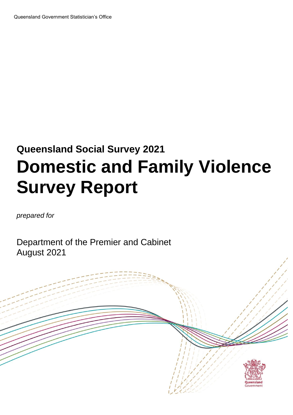# **Queensland Social Survey 2021 Domestic and Family Violence Survey Report**

*prepared for*

Department of the Premier and Cabinet August 2021

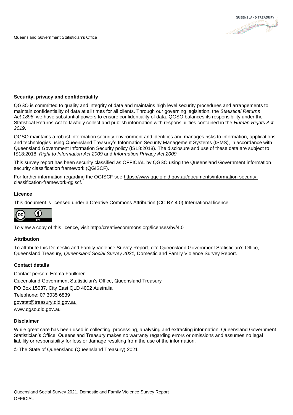

#### **Security, privacy and confidentiality**

QGSO is committed to quality and integrity of data and maintains high level security procedures and arrangements to maintain confidentiality of data at all times for all clients. Through our governing legislation, the *Statistical Returns Act 1896*, we have substantial powers to ensure confidentiality of data. QGSO balances its responsibility under the Statistical Returns Act to lawfully collect and publish information with responsibilities contained in the *Human Rights Act 2019*.

QGSO maintains a robust information security environment and identifies and manages risks to information, applications and technologies using Queensland Treasury's Information Security Management Systems (ISMS), in accordance with Queensland Government Information Security policy (IS18:2018). The disclosure and use of these data are subject to IS18:2018, *Right to Information Act 2009* and *Information Privacy Act 2009.*

This survey report has been security classified as OFFICIAL by QGSO using the Queensland Government information security classification framework (QGISCF).

For further information regarding the QGISCF see [https://www.qgcio.qld.gov.au/documents/information-security](https://www.qgcio.qld.gov.au/documents/information-security-classification-framework-qgiscf)[classification-framework-qgiscf.](https://www.qgcio.qld.gov.au/documents/information-security-classification-framework-qgiscf)

#### **Licence**

This document is licensed under a Creative Commons Attribution (CC BY 4.0) International licence.



To view a copy of this licence, visit<http://creativecommons.org/licenses/by/4.0>

#### **Attribution**

To attribute this Domestic and Family Violence Survey Report, cite Queensland Government Statistician's Office, Queensland Treasury*, Queensland Social Survey 2021,* Domestic and Family Violence Survey Report.

#### **Contact details**

Contact person: Emma Faulkner Queensland Government Statistician's Office, Queensland Treasury PO Box 15037, City East QLD 4002 Australia Telephone: 07 3035 6839 [govstat@treasury.qld.gov.au](mailto:govstat@treasury.qld.gov.au) [www.qgso.qld.gov.au](http://www.qgso.qld.gov.au/)

#### **Disclaimer**

While great care has been used in collecting, processing, analysing and extracting information, Queensland Government Statistician's Office, Queensland Treasury makes no warranty regarding errors or omissions and assumes no legal liability or responsibility for loss or damage resulting from the use of the information.

© The State of Queensland (Queensland Treasury) 2021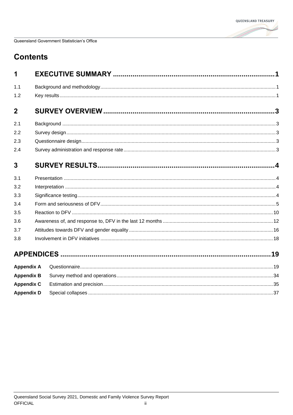

## **Contents**

| 1              |                   |   |
|----------------|-------------------|---|
| 1.1            |                   |   |
| 1.2            |                   |   |
| $\overline{2}$ |                   | 3 |
| 2.1            |                   |   |
| 2.2            |                   |   |
| 2.3            |                   |   |
| 2.4            |                   |   |
| 3              |                   |   |
| 3.1            |                   |   |
| 3.2            |                   |   |
| 3.3            |                   |   |
| 3.4            |                   |   |
| 3.5            |                   |   |
| 3.6            |                   |   |
| 3.7            |                   |   |
| 3.8            |                   |   |
|                |                   |   |
|                | <b>Appendix A</b> |   |
|                | <b>Appendix B</b> |   |
|                | <b>Appendix C</b> |   |
|                | <b>Appendix D</b> |   |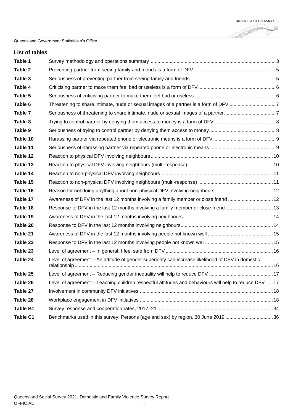#### **List of tables**

| Table 1         |                                                                                                        |  |
|-----------------|--------------------------------------------------------------------------------------------------------|--|
| Table 2         |                                                                                                        |  |
| Table 3         |                                                                                                        |  |
| Table 4         |                                                                                                        |  |
| Table 5         |                                                                                                        |  |
| Table 6         | Threatening to share intimate, nude or sexual images of a partner is a form of DFV 7                   |  |
| Table 7         |                                                                                                        |  |
| Table 8         |                                                                                                        |  |
| Table 9         |                                                                                                        |  |
| Table 10        |                                                                                                        |  |
| Table 11        |                                                                                                        |  |
| Table 12        |                                                                                                        |  |
| Table 13        |                                                                                                        |  |
| Table 14        |                                                                                                        |  |
| Table 15        |                                                                                                        |  |
| Table 16        |                                                                                                        |  |
| Table 17        | Awareness of DFV in the last 12 months involving a family member or close friend 12                    |  |
| Table 18        | Response to DFV in the last 12 months involving a family member or close friend13                      |  |
| Table 19        |                                                                                                        |  |
| Table 20        |                                                                                                        |  |
| Table 21        |                                                                                                        |  |
| Table 22        |                                                                                                        |  |
| Table 23        |                                                                                                        |  |
| Table 24        | Level of agreement - An attitude of gender superiority can increase likelihood of DFV in domestic      |  |
| Table 25        |                                                                                                        |  |
| Table 26        | Level of agreement – Teaching children respectful attitudes and behaviours will help to reduce DFV  17 |  |
| Table 27        |                                                                                                        |  |
| Table 28        |                                                                                                        |  |
| <b>Table B1</b> |                                                                                                        |  |
| Table C1        | Benchmarks used in this survey: Persons (age and sex) by region, 30 June 2019 36                       |  |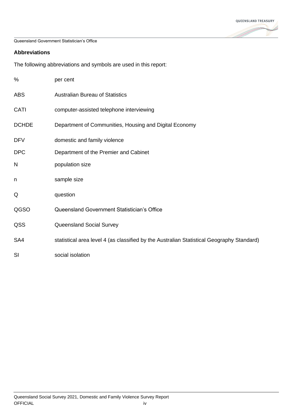

#### **Abbreviations**

The following abbreviations and symbols are used in this report:

| %            | per cent                                                                                  |
|--------------|-------------------------------------------------------------------------------------------|
| <b>ABS</b>   | <b>Australian Bureau of Statistics</b>                                                    |
| CATI         | computer-assisted telephone interviewing                                                  |
| <b>DCHDE</b> | Department of Communities, Housing and Digital Economy                                    |
| <b>DFV</b>   | domestic and family violence                                                              |
| <b>DPC</b>   | Department of the Premier and Cabinet                                                     |
| N            | population size                                                                           |
| n            | sample size                                                                               |
| Q            | question                                                                                  |
| QGSO         | Queensland Government Statistician's Office                                               |
| QSS          | Queensland Social Survey                                                                  |
| SA4          | statistical area level 4 (as classified by the Australian Statistical Geography Standard) |
| SI           | social isolation                                                                          |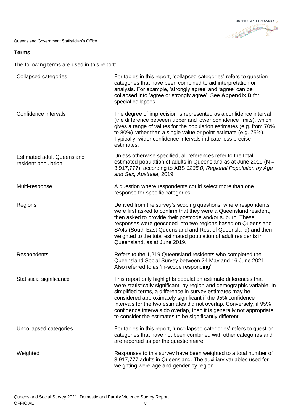QUEENSLAND TREASURY and a family of the contract of the contract of the contract of the contract of the contract of the contract of the contract of the contract of the contract of the contract of the contract of the contract of the contract o

Queensland Government Statistician's Office

#### **Terms**

The following terms are used in this report:

| Collapsed categories                                     | For tables in this report, 'collapsed categories' refers to question<br>categories that have been combined to aid interpretation or<br>analysis. For example, 'strongly agree' and 'agree' can be<br>collapsed into 'agree or strongly agree'. See Appendix D for<br>special collapses.                                                                                                                                                                                           |
|----------------------------------------------------------|-----------------------------------------------------------------------------------------------------------------------------------------------------------------------------------------------------------------------------------------------------------------------------------------------------------------------------------------------------------------------------------------------------------------------------------------------------------------------------------|
| Confidence intervals                                     | The degree of imprecision is represented as a confidence interval<br>(the difference between upper and lower confidence limits), which<br>gives a range of values for the population estimates (e.g. from 70%<br>to 80%) rather than a single value or point estimate (e.g. 75%).<br>Typically, wider confidence intervals indicate less precise<br>estimates.                                                                                                                    |
| <b>Estimated adult Queensland</b><br>resident population | Unless otherwise specified, all references refer to the total<br>estimated population of adults in Queensland as at June 2019 ( $N =$<br>3,917,777), according to ABS 3235.0, Regional Population by Age<br>and Sex, Australia, 2019.                                                                                                                                                                                                                                             |
| Multi-response                                           | A question where respondents could select more than one<br>response for specific categories.                                                                                                                                                                                                                                                                                                                                                                                      |
| Regions                                                  | Derived from the survey's scoping questions, where respondents<br>were first asked to confirm that they were a Queensland resident,<br>then asked to provide their postcode and/or suburb. These<br>responses were geocoded into two regions based on Queensland<br>SA4s (South East Queensland and Rest of Queensland) and then<br>weighted to the total estimated population of adult residents in<br>Queensland, as at June 2019.                                              |
| Respondents                                              | Refers to the 1,219 Queensland residents who completed the<br>Queensland Social Survey between 24 May and 16 June 2021.<br>Also referred to as 'in-scope responding'.                                                                                                                                                                                                                                                                                                             |
| Statistical significance                                 | This report only highlights population estimate differences that<br>were statistically significant, by region and demographic variable. In<br>simplified terms, a difference in survey estimates may be<br>considered approximately significant if the 95% confidence<br>intervals for the two estimates did not overlap. Conversely, if 95%<br>confidence intervals do overlap, then it is generally not appropriate<br>to consider the estimates to be significantly different. |
| Uncollapsed categories                                   | For tables in this report, 'uncollapsed categories' refers to question<br>categories that have not been combined with other categories and<br>are reported as per the questionnaire.                                                                                                                                                                                                                                                                                              |
| Weighted                                                 | Responses to this survey have been weighted to a total number of<br>3,917,777 adults in Queensland. The auxiliary variables used for<br>weighting were age and gender by region.                                                                                                                                                                                                                                                                                                  |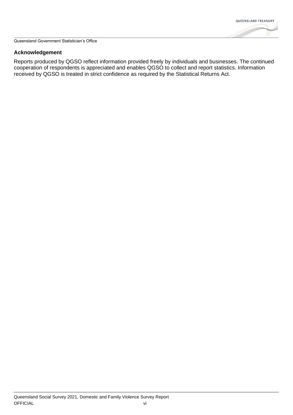

#### **Acknowledgement**

Reports produced by QGSO reflect information provided freely by individuals and businesses. The continued cooperation of respondents is appreciated and enables QGSO to collect and report statistics. Information received by QGSO is treated in strict confidence as required by the Statistical Returns Act.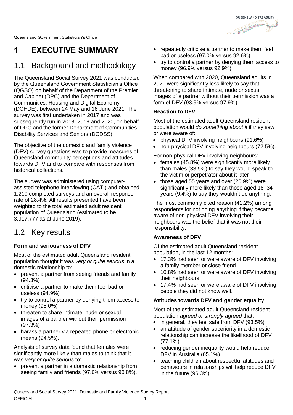

## <span id="page-7-0"></span>**1 EXECUTIVE SUMMARY**

## <span id="page-7-1"></span>1.1 Background and methodology

The Queensland Social Survey 2021 was conducted by the Queensland Government Statistician's Office (QGSO) on behalf of the Department of the Premier and Cabinet (DPC) and the Department of Communities, Housing and Digital Economy (DCHDE), between 24 May and 16 June 2021. The survey was first undertaken in 2017 and was subsequently run in 2018, 2019 and 2020, on behalf of DPC and the former Department of Communities, Disability Services and Seniors (DCDSS).

The objective of the domestic and family violence (DFV) survey questions was to provide measures of Queensland community perceptions and attitudes towards DFV and to compare with responses from historical collections.

The survey was administered using computerassisted telephone interviewing (CATI) and obtained 1,219 completed surveys and an overall response rate of 28.4%. All results presented have been weighted to the total estimated adult resident population of Queensland (estimated to be 3,917,777 as at June 2019).

### <span id="page-7-2"></span>1.2 Key results

### **Form and seriousness of DFV**

Most of the estimated adult Queensland resident population thought it was *very or quite serious* in a domestic relationship to:

- prevent a partner from seeing friends and family (94.3%)
- criticise a partner to make them feel bad or useless (94.9%)
- try to control a partner by denying them access to money (95.0%)
- threaten to share intimate, nude or sexual images of a partner without their permission (97.3%)
- harass a partner via repeated phone or electronic means (94.5%).

Analysis of survey data found that females were significantly more likely than males to think that it was *very or quite serious* to:

• prevent a partner in a domestic relationship from seeing family and friends (97.6% versus 90.8%).

- repeatedly criticise a partner to make them feel bad or useless (97.0% versus 92.6%)
- try to control a partner by denying them access to money (96.9% versus 92.9%)

When compared with 2020, Queensland adults in 2021 were significantly less likely to say that threatening to share intimate, nude or sexual images of a partner without their permission was a form of DFV (93.9% versus 97.9%).

### **Reaction to DFV**

Most of the estimated adult Queensland resident population would *do something about it* if they saw or were aware of:

- physical DFV involving neighbours (91.6%)
- non-physical DFV involving neighbours (72.5%).

For non-physical DFV involving neighbours:

- females (45.8%) were significantly more likely than males (33.5%) to say they would speak to the victim or perpetrator about it later
- those aged 55 years and over (20.9%) were significantly more likely than those aged 18–34 years (9.4%) to say they wouldn't do anything.

The most commonly cited reason (41.2%) among respondents for not doing anything if they became aware of non-physical DFV involving their neighbours was the belief that it was not their responsibility.

### **Awareness of DFV**

Of the estimated adult Queensland resident population, in the last 12 months:

- 17.3% had seen or were aware of DFV involving a family member or close friend
- 10.8% had seen or were aware of DFV involving their neighbours
- 17.4% had seen or were aware of DFV involving people they did not know well.

#### **Attitudes towards DFV and gender equality**

Most of the estimated adult Queensland resident population *agreed or strongly agreed* that:

- in general, they feel safe from DFV (93.5%)
- an attitude of gender superiority in a domestic relationship can increase the likelihood of DFV (77.1%)
- reducing gender inequality would help reduce DFV in Australia (65.1%)
- teaching children about respectful attitudes and behaviours in relationships will help reduce DFV in the future (96.3%).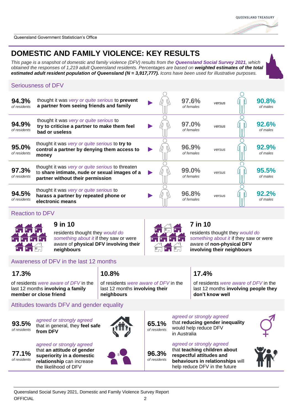### **DOMESTIC AND FAMILY VIOLENCE: KEY RESULTS**

*This page is a snapshot of domestic and family violence (DFV) results from the Queensland Social Survey 2021, which obtained the responses of 1,219 adult Queensland residents. Percentages are based on weighted estimates of the total estimated adult resident population of Queensland (N = 3,917,777). Icons have been used for illustrative purposes.*

#### Seriousness of DFV

| 94.3%<br>of residents | thought it was very or quite serious to prevent<br>a partner from seeing friends and family                                           |  | 97.6%<br>of females | versus | 90.8%<br>of males |
|-----------------------|---------------------------------------------------------------------------------------------------------------------------------------|--|---------------------|--------|-------------------|
| 94.9%<br>of residents | thought it was very or quite serious to<br>try to criticise a partner to make them feel<br>bad or useless                             |  | 97.0%<br>of females | versus | 92.6%<br>of males |
| 95.0%<br>of residents | thought it was very or quite serious to try to<br>control a partner by denying them access to<br>money                                |  | 96.9%<br>of females | versus | 92.9%<br>of males |
| 97.3%<br>of residents | thought it was very or quite serious to threaten<br>to share intimate, nude or sexual images of a<br>partner without their permission |  | 99.0%<br>of females | versus | 95.5%<br>of males |
| 94.5%<br>of residents | thought it was very or quite serious to<br>harass a partner by repeated phone or<br>electronic means                                  |  | 96.8%<br>of females | versus | 92.2%<br>of males |

#### Reaction to DFV



residents thought they *would do something about it* if they saw or were aware of **physical DFV involving their neighbours**



residents thought they *would do something about it* if they saw or were aware of **non-physical DFV involving their neighbours**

#### Awareness of DFV in the last 12 months

of residents *were aware of DFV* in the last 12 months **involving a family member or close friend**

**17.3% 10.8% 17.4%**

of residents *were aware of DFV* in the last 12 months **involving their neighbours**

of residents *were aware of DFV* in the last 12 months **involving people they don't know well**

#### Attitudes towards DFV and gender equality

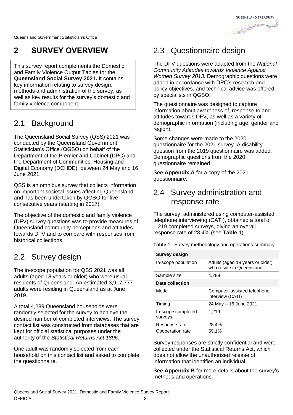**OUFFNSI AND TREASURY** 

Queensland Government Statistician's Office

### <span id="page-9-0"></span>**2 SURVEY OVERVIEW**

This survey report complements the Domestic and Family Violence Output Tables for the **Queensland Social Survey 2021.** It contains key information relating to survey design, methods and administration of the survey, as well as key results for the survey's domestic and family violence component.

### <span id="page-9-1"></span>2.1 Background

The Queensland Social Survey (QSS) 2021 was conducted by the Queensland Government Statistician's Office (QGSO) on behalf of the Department of the Premier and Cabinet (DPC) and the Department of Communities, Housing and Digital Economy (DCHDE), between 24 May and 16 June 2021.

QSS is an omnibus survey that collects information on important societal issues affecting Queensland and has been undertaken by QGSO for five consecutive years (starting in 2017).

The objective of the domestic and family violence (DFV) survey questions was to provide measures of Queensland community perceptions and attitudes towards DFV and to compare with responses from historical collections.

### <span id="page-9-2"></span>2.2 Survey design

The in-scope population for QSS 2021 was all adults (aged 18 years or older) who were usual residents of Queensland. An estimated 3,917,777 adults were residing in Queensland as at June 2019.

A total 4,289 Queensland households were randomly selected for the survey to achieve the desired number of completed interviews. The survey contact list was constructed from databases that are kept for official statistical purposes under the authority of the *Statistical Returns Act 1896*.

One adult was randomly selected from each household on this contact list and asked to complete the questionnaire.

### <span id="page-9-3"></span>2.3 Questionnaire design

The DFV questions were adapted from the *National Community Attitudes towards Violence Against Women Survey 2013.* Demographic questions were added in accordance with DPC's research and policy objectives, and technical advice was offered by specialists in QGSO.

The questionnaire was designed to capture information about awareness of, response to and attitudes towards DFV, as well as a variety of demographic information (including age, gender and region).

Some changes were made to the 2020 questionnaire for the 2021 survey. A disability question from the 2019 questionnaire was added. Demographic questions from the 2020 questionnaire remained.

See **[Appendix A](#page-25-1)** for a copy of the 2021 questionnaire.

### <span id="page-9-4"></span>2.4 Survey administration and response rate

The survey, administered using computer-assisted telephone interviewing (CATI), obtained a total of 1,219 completed surveys, giving an overall response rate of 28.4% (see **[Table 1](#page-9-5)**).

<span id="page-9-5"></span>**Table 1** Survey methodology and operations summary

| Survey design                     |                                                             |  |  |
|-----------------------------------|-------------------------------------------------------------|--|--|
| In-scope population               | Adults (aged 18 years or older)<br>who reside in Queensland |  |  |
| Sample size                       | 4,289                                                       |  |  |
| Data collection                   |                                                             |  |  |
| Mode                              | Computer-assisted telephone<br>interview (CATI)             |  |  |
| Timina                            | 24 May - 16 June 2021                                       |  |  |
| In-scope completed<br>surveys     | 1.219                                                       |  |  |
| Response rate<br>Cooperation rate | 28.4%<br>59.1%                                              |  |  |

Survey responses are strictly confidential and were collected under the Statistical Returns Act, which does not allow the unauthorised release of information that identifies an individual.

See **[Appendix B](#page-40-2)** for more details about the survey's methods and operations.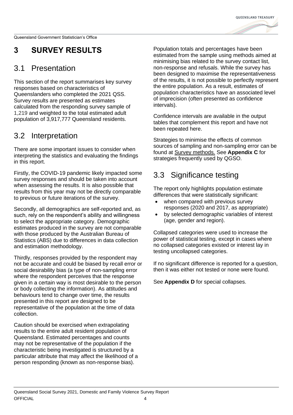

## <span id="page-10-0"></span>**3 SURVEY RESULTS**

### <span id="page-10-1"></span>3.1 Presentation

This section of the report summarises key survey responses based on characteristics of Queenslanders who completed the 2021 QSS. Survey results are presented as estimates calculated from the responding survey sample of 1,219 and weighted to the total estimated adult population of 3,917,777 Queensland residents.

### <span id="page-10-2"></span>3.2 Interpretation

There are some important issues to consider when interpreting the statistics and evaluating the findings in this report.

Firstly, the COVID-19 pandemic likely impacted some survey responses and should be taken into account when assessing the results. It is also possible that results from this year may not be directly comparable to previous or future iterations of the survey.

Secondly, all demographics are self-reported and, as such, rely on the respondent's ability and willingness to select the appropriate category. Demographic estimates produced in the survey are not comparable with those produced by the Australian Bureau of Statistics (ABS) due to differences in data collection and estimation methodology.

Thirdly, responses provided by the respondent may not be accurate and could be biased by recall error or social desirability bias (a type of non-sampling error where the respondent perceives that the response given in a certain way is most desirable to the person or body collecting the information). As attitudes and behaviours tend to change over time, the results presented in this report are designed to be representative of the population at the time of data collection.

Caution should be exercised when extrapolating results to the entire adult resident population of Queensland. Estimated percentages and counts may not be representative of the population if the characteristic being investigated is structured by a particular attribute that may affect the likelihood of a person responding (known as non-response bias).

Population totals and percentages have been estimated from the sample using methods aimed at minimising bias related to the survey contact list, non-response and refusals. While the survey has been designed to maximise the representativeness of the results, it is not possible to perfectly represent the entire population. As a result, estimates of population characteristics have an associated level of imprecision (often presented as confidence intervals).

Confidence intervals are available in the output tables that complement this report and have not been repeated here.

Strategies to minimise the effects of common sources of sampling and non-sampling error can be found at [Survey methods.](https://www.qgso.qld.gov.au/about-statistics/collecting-data/survey-methods) See **[Appendix C](#page-41-0)** for strategies frequently used by QGSO.

### <span id="page-10-3"></span>3.3 Significance testing

The report only highlights population estimate differences that were statistically significant:

- when compared with previous survey responses (2020 and 2017, as appropriate)
- by selected demographic variables of interest (age, gender and region).

Collapsed categories were used to increase the power of statistical testing, except in cases where no collapsed categories existed or interest lay in testing uncollapsed categories.

If no significant difference is reported for a question, then it was either not tested or none were found.

See **[Appendix D](#page-43-0)** for special collapses.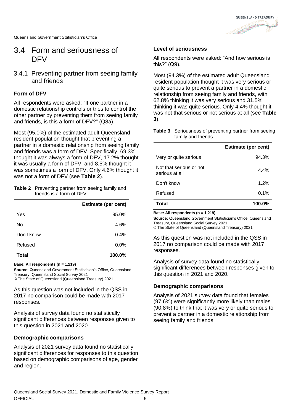

### <span id="page-11-0"></span>3.4 Form and seriousness of DFV

3.4.1 Preventing partner from seeing family and friends

#### **Form of DFV**

All respondents were asked: "If one partner in a domestic relationship controls or tries to control the other partner by preventing them from seeing family and friends, is this a form of DFV?" (Q8a).

Most (95.0%) of the estimated adult Queensland resident population thought that preventing a partner in a domestic relationship from seeing family and friends was a form of DFV. Specifically, 69.3% thought it was always a form of DFV, 17.2% thought it was usually a form of DFV, and 8.5% thought it was sometimes a form of DFV. Only 4.6% thought it was not a form of DFV (see **[Table 2](#page-11-1)**).

<span id="page-11-1"></span>

| <b>Table 2</b> Preventing partner from seeing family and |
|----------------------------------------------------------|
| friends is a form of DFV                                 |

|            | <b>Estimate (per cent)</b> |
|------------|----------------------------|
| Yes        | 95.0%                      |
| No         | 4.6%                       |
| Don't know | 0.4%                       |
| Refused    | 0.0%                       |
| Total      | 100.0%                     |

**Base: All respondents (n = 1,219)**

**Source:** Queensland Government Statistician's Office, Queensland Treasury, Queensland Social Survey 2021

© The State of Queensland (Queensland Treasury) 2021

As this question was not included in the QSS in 2017 no comparison could be made with 2017 responses.

Analysis of survey data found no statistically significant differences between responses given to this question in 2021 and 2020.

#### **Demographic comparisons**

Analysis of 2021 survey data found no statistically significant differences for responses to this question based on demographic comparisons of age, gender and region.

#### **Level of seriousness**

All respondents were asked: "And how serious is this?" (Q9).

Most (94.3%) of the estimated adult Queensland resident population thought it was very serious or quite serious to prevent a partner in a domestic relationship from seeing family and friends, with 62.8% thinking it was very serious and 31.5% thinking it was quite serious. Only 4.4% thought it was not that serious or not serious at all (see **[Table](#page-11-2)  [3](#page-11-2)**).

<span id="page-11-2"></span>**Table 3** Seriousness of preventing partner from seeing family and friends

|                                           | <b>Estimate (per cent)</b> |
|-------------------------------------------|----------------------------|
| Very or quite serious                     | 94.3%                      |
| Not that serious or not<br>serious at all | 4.4%                       |
| Don't know                                | 1.2%                       |
| Refused                                   | 0.1%                       |
| Total                                     | 100.0%                     |

**Base: All respondents (n = 1,219)**

**Source:** Queensland Government Statistician's Office, Queensland Treasury, Queensland Social Survey 2021 © The State of Queensland (Queensland Treasury) 2021

As this question was not included in the QSS in 2017 no comparison could be made with 2017 responses.

Analysis of survey data found no statistically significant differences between responses given to this question in 2021 and 2020.

#### **Demographic comparisons**

Analysis of 2021 survey data found that females (97.6%) were significantly more likely than males (90.8%) to think that it was very or quite serious to prevent a partner in a domestic relationship from seeing family and friends.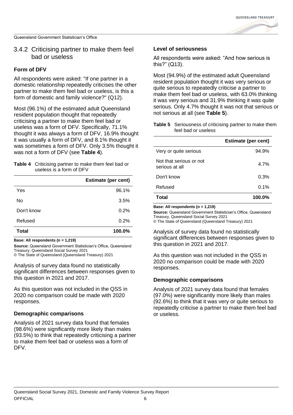

#### 3.4.2 Criticising partner to make them feel bad or useless

#### **Form of DFV**

All respondents were asked: "If one partner in a domestic relationship repeatedly criticises the other partner to make them feel bad or useless, is this a form of domestic and family violence?" (Q12).

Most (96.1%) of the estimated adult Queensland resident population thought that repeatedly criticising a partner to make them feel bad or useless was a form of DFV. Specifically, 71.1% thought it was always a form of DFV, 16.9% thought it was usually a form of DFV, and 8.1% thought it was sometimes a form of DFV. Only 3.5% thought it was not a form of DFV (see **[Table 4](#page-12-0)**).

#### <span id="page-12-0"></span>**Table 4** Criticising partner to make them feel bad or useless is a form of DFV

|              | <b>Estimate (per cent)</b> |
|--------------|----------------------------|
| Yes          | 96.1%                      |
| No           | 3.5%                       |
| Don't know   | 0.2%                       |
| Refused      | 0.2%                       |
| <b>Total</b> | 100.0%                     |

**Base: All respondents (n = 1,219)**

**Source:** Queensland Government Statistician's Office, Queensland Treasury, Queensland Social Survey 2021 © The State of Queensland (Queensland Treasury) 2021

Analysis of survey data found no statistically

significant differences between responses given to this question in 2021 and 2017.

As this question was not included in the QSS in 2020 no comparison could be made with 2020 responses.

#### **Demographic comparisons**

Analysis of 2021 survey data found that females (98.6%) were significantly more likely than males (93.5%) to think that repeatedly criticising a partner to make them feel bad or useless was a form of DFV.

#### **Level of seriousness**

All respondents were asked: "And how serious is this?" (Q13).

Most (94.9%) of the estimated adult Queensland resident population thought it was very serious or quite serious to repeatedly criticise a partner to make them feel bad or useless, with 63.0% thinking it was very serious and 31.9% thinking it was quite serious. Only 4.7% thought it was not that serious or not serious at all (see **[Table 5](#page-12-1)**).

<span id="page-12-1"></span>

| Table 5 Seriousness of criticising partner to make them |
|---------------------------------------------------------|
| feel bad or useless                                     |

|                                           | <b>Estimate (per cent)</b> |
|-------------------------------------------|----------------------------|
| Very or quite serious                     | 94.9%                      |
| Not that serious or not<br>serious at all | 4.7%                       |
| Don't know                                | 0.3%                       |
| Refused                                   | 0.1%                       |
| Total                                     | 100.0%                     |

**Base: All respondents (n = 1,219)**

**Source:** Queensland Government Statistician's Office, Queensland Treasury, Queensland Social Survey 2021

© The State of Queensland (Queensland Treasury) 2021

Analysis of survey data found no statistically significant differences between responses given to this question in 2021 and 2017.

As this question was not included in the QSS in 2020 no comparison could be made with 2020 responses.

#### **Demographic comparisons**

Analysis of 2021 survey data found that females (97.0%) were significantly more likely than males (92.6%) to think that it was very or quite serious to repeatedly criticise a partner to make them feel bad or useless.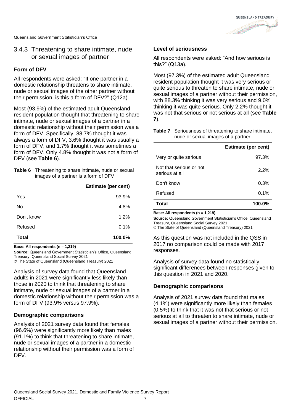#### 3.4.3 Threatening to share intimate, nude or sexual images of partner

#### **Form of DFV**

All respondents were asked: "If one partner in a domestic relationship threatens to share intimate, nude or sexual images of the other partner without their permission, is this a form of DFV?" (Q12a).

Most (93.9%) of the estimated adult Queensland resident population thought that threatening to share intimate, nude or sexual images of a partner in a domestic relationship without their permission was a form of DFV. Specifically, 88.7% thought it was always a form of DFV, 3.6% thought it was usually a form of DFV, and 1.7% thought it was sometimes a form of DFV. Only 4.8% thought it was not a form of DFV (see **[Table 6](#page-13-0)**).

<span id="page-13-0"></span>

| <b>Table 6</b> Threatening to share intimate, nude or sexual |
|--------------------------------------------------------------|
| images of a partner is a form of DFV                         |

|            | <b>Estimate (per cent)</b> |
|------------|----------------------------|
| Yes        | 93.9%                      |
| No         | 4.8%                       |
| Don't know | 1.2%                       |
| Refused    | 0.1%                       |
| Total      | 100.0%                     |

**Base: All respondents (n = 1,219)**

**Source:** Queensland Government Statistician's Office, Queensland Treasury, Queensland Social Survey 2021

© The State of Queensland (Queensland Treasury) 2021

Analysis of survey data found that Queensland adults in 2021 were significantly less likely than those in 2020 to think that threatening to share intimate, nude or sexual images of a partner in a domestic relationship without their permission was a form of DFV (93.9% versus 97.9%).

#### **Demographic comparisons**

Analysis of 2021 survey data found that females (96.6%) were significantly more likely than males (91.1%) to think that threatening to share intimate, nude or sexual images of a partner in a domestic relationship without their permission was a form of DFV.

#### **Level of seriousness**

All respondents were asked: "And how serious is this?" (Q13a).

Most (97.3%) of the estimated adult Queensland resident population thought it was very serious or quite serious to threaten to share intimate, nude or sexual images of a partner without their permission, with 88.3% thinking it was very serious and 9.0% thinking it was quite serious. Only 2.2% thought it was not that serious or not serious at all (see **[Table](#page-13-1)  [7](#page-13-1)**).

<span id="page-13-1"></span>

| <b>Table 7</b> Seriousness of threatening to share intimate, |  |
|--------------------------------------------------------------|--|
| nude or sexual images of a partner                           |  |

|                                           | <b>Estimate (per cent)</b> |
|-------------------------------------------|----------------------------|
| Very or quite serious                     | 97.3%                      |
| Not that serious or not<br>serious at all | 2.2%                       |
| Don't know                                | 0.3%                       |
| Refused                                   | 0.1%                       |
| Total                                     | 100.0%                     |

**Base: All respondents (n = 1,219)**

**Source:** Queensland Government Statistician's Office, Queensland Treasury, Queensland Social Survey 2021 © The State of Queensland (Queensland Treasury) 2021

As this question was not included in the QSS in 2017 no comparison could be made with 2017 responses.

Analysis of survey data found no statistically significant differences between responses given to this question in 2021 and 2020.

#### **Demographic comparisons**

Analysis of 2021 survey data found that males (4.1%) were significantly more likely than females (0.5%) to think that it was not that serious or not serious at all to threaten to share intimate, nude or sexual images of a partner without their permission.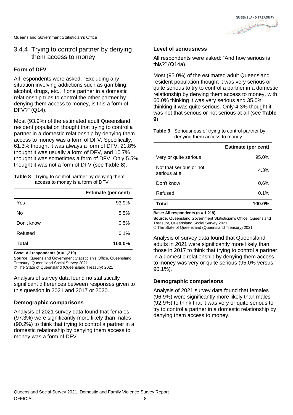

#### 3.4.4 Trying to control partner by denying them access to money

#### **Form of DFV**

All respondents were asked: "Excluding any situation involving addictions such as gambling, alcohol, drugs, etc., if one partner in a domestic relationship tries to control the other partner by denying them access to money, is this a form of DFV?" (Q14).

Most (93.9%) of the estimated adult Queensland resident population thought that trying to control a partner in a domestic relationship by denying them access to money was a form of DFV. Specifically, 61.3% thought it was always a form of DFV, 21.8% thought it was usually a form of DFV, and 10.7% thought it was sometimes a form of DFV. Only 5.5% thought it was not a form of DFV (see **[Table 8](#page-14-0)**).

<span id="page-14-0"></span>

| <b>Table 8</b> Trying to control partner by denying them |
|----------------------------------------------------------|
| access to money is a form of DFV                         |

|            | <b>Estimate (per cent)</b> |
|------------|----------------------------|
| Yes        | 93.9%                      |
| No         | 5.5%                       |
| Don't know | 0.5%                       |
| Refused    | 0.1%                       |
| Total      | 100.0%                     |

**Base: All respondents (n = 1,219)**

**Source:** Queensland Government Statistician's Office, Queensland Treasury, Queensland Social Survey 2021

© The State of Queensland (Queensland Treasury) 2021

Analysis of survey data found no statistically significant differences between responses given to this question in 2021 and 2017 or 2020.

#### **Demographic comparisons**

Analysis of 2021 survey data found that females (97.3%) were significantly more likely than males (90.2%) to think that trying to control a partner in a domestic relationship by denying them access to money was a form of DFV.

#### **Level of seriousness**

All respondents were asked: "And how serious is this?" (Q14a).

Most (95.0%) of the estimated adult Queensland resident population thought it was very serious or quite serious to try to control a partner in a domestic relationship by denying them access to money, with 60.0% thinking it was very serious and 35.0% thinking it was quite serious. Only 4.3% thought it was not that serious or not serious at all (see **[Table](#page-14-1)  [9](#page-14-1)**).

#### <span id="page-14-1"></span>**Table 9** Seriousness of trying to control partner by denying them access to money

|                                           | <b>Estimate (per cent)</b> |
|-------------------------------------------|----------------------------|
| Very or quite serious                     | 95.0%                      |
| Not that serious or not<br>serious at all | 4.3%                       |
| Don't know                                | 0.6%                       |
| Refused                                   | 0.1%                       |
| Total                                     | 100.0%                     |

**Base: All respondents (n = 1,219)**

**Source:** Queensland Government Statistician's Office, Queensland Treasury, Queensland Social Survey 2021

© The State of Queensland (Queensland Treasury) 2021

Analysis of survey data found that Queensland adults in 2021 were significantly more likely than those in 2017 to think that trying to control a partner in a domestic relationship by denying them access to money was very or quite serious (95.0% versus 90.1%).

#### **Demographic comparisons**

Analysis of 2021 survey data found that females (96.9%) were significantly more likely than males (92.9%) to think that it was very or quite serious to try to control a partner in a domestic relationship by denying them access to money.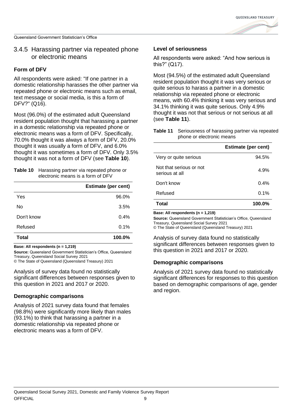

#### 3.4.5 Harassing partner via repeated phone or electronic means

#### **Form of DFV**

All respondents were asked: "If one partner in a domestic relationship harasses the other partner via repeated phone or electronic means such as email, text message or social media, is this a form of DFV?" (Q16).

Most (96.0%) of the estimated adult Queensland resident population thought that harassing a partner in a domestic relationship via repeated phone or electronic means was a form of DFV. Specifically, 70.0% thought it was always a form of DFV, 20.0% thought it was usually a form of DFV, and 6.0% thought it was sometimes a form of DFV. Only 3.5% thought it was not a form of DFV (see **[Table 10](#page-15-0)**).

<span id="page-15-0"></span>

| <b>Table 10</b> Harassing partner via repeated phone or |  |  |
|---------------------------------------------------------|--|--|
| electronic means is a form of DFV                       |  |  |

|            | <b>Estimate (per cent)</b> |
|------------|----------------------------|
| Yes        | 96.0%                      |
| No         | 3.5%                       |
| Don't know | 0.4%                       |
| Refused    | 0.1%                       |
| Total      | 100.0%                     |

**Base: All respondents (n = 1,219)**

**Source:** Queensland Government Statistician's Office, Queensland Treasury, Queensland Social Survey 2021

© The State of Queensland (Queensland Treasury) 2021

Analysis of survey data found no statistically significant differences between responses given to this question in 2021 and 2017 or 2020.

#### **Demographic comparisons**

Analysis of 2021 survey data found that females (98.8%) were significantly more likely than males (93.1%) to think that harassing a partner in a domestic relationship via repeated phone or electronic means was a form of DFV.

#### **Level of seriousness**

All respondents were asked: "And how serious is this?" (Q17).

Most (94.5%) of the estimated adult Queensland resident population thought it was very serious or quite serious to harass a partner in a domestic relationship via repeated phone or electronic means, with 60.4% thinking it was very serious and 34.1% thinking it was quite serious. Only 4.9% thought it was not that serious or not serious at all (see **[Table 11](#page-15-1)**).

<span id="page-15-1"></span>

| <b>Table 11</b> Seriousness of harassing partner via repeated |  |
|---------------------------------------------------------------|--|
| phone or electronic means                                     |  |

|                                           | <b>Estimate (per cent)</b> |
|-------------------------------------------|----------------------------|
| Very or quite serious                     | 94.5%                      |
| Not that serious or not<br>serious at all | 4.9%                       |
| Don't know                                | 0.4%                       |
| Refused                                   | 0.1%                       |
| Total                                     | 100.0%                     |

**Base: All respondents (n = 1,219)**

**Source:** Queensland Government Statistician's Office, Queensland Treasury, Queensland Social Survey 2021 © The State of Queensland (Queensland Treasury) 2021

Analysis of survey data found no statistically significant differences between responses given to this question in 2021 and 2017 or 2020.

#### **Demographic comparisons**

Analysis of 2021 survey data found no statistically significant differences for responses to this question based on demographic comparisons of age, gender and region.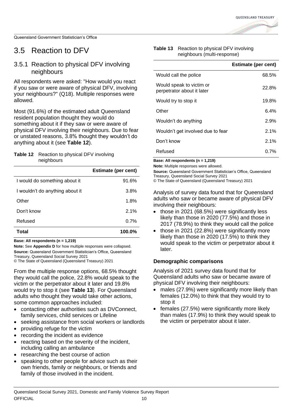**OUFFNSI AND TREASURY** 

Queensland Government Statistician's Office

### <span id="page-16-0"></span>3.5 Reaction to DFV

### 3.5.1 Reaction to physical DFV involving neighbours

All respondents were asked: "How would you react if you saw or were aware of physical DFV, involving your neighbours?" (Q18). Multiple responses were allowed.

Most (91.6%) of the estimated adult Queensland resident population thought they would do something about it if they saw or were aware of physical DFV involving their neighbours. Due to fear or unstated reasons, 3.8% thought they wouldn't do anything about it (see **[Table 12](#page-16-1)**).

#### <span id="page-16-1"></span>**Table 12** Reaction to physical DFV involving neighbours

|                                 | <b>Estimate (per cent)</b> |
|---------------------------------|----------------------------|
| I would do something about it   | 91.6%                      |
| I wouldn't do anything about it | 3.8%                       |
| Other                           | 1.8%                       |
| Don't know                      | 2.1%                       |
| Refused                         | 0.7%                       |
| Total                           | 100.0%                     |

**Base: All respondents (n = 1,219)**

**Note:** See **[Appendix D](#page-43-0)** for how multiple responses were collapsed. **Source:** Queensland Government Statistician's Office, Queensland Treasury, Queensland Social Survey 2021

© The State of Queensland (Queensland Treasury) 2021

From the multiple response options, 68.5% thought they would call the police, 22.8% would speak to the victim or the perpetrator about it later and 19.8% would try to stop it (see **[Table 13](#page-16-2)**). For Queensland adults who thought they would take other actions, some common approaches included:

- contacting other authorities such as DVConnect, family services, child services or Lifeline
- seeking assistance from social workers or landlords
- providing refuge for the victim
- recording the incident as evidence
- reacting based on the severity of the incident, including calling an ambulance
- researching the best course of action
- speaking to other people for advice such as their own friends, family or neighbours, or friends and family of those involved in the incident.

#### <span id="page-16-2"></span>**Table 13** Reaction to physical DFV involving neighbours (multi-response)

|                                                        | <b>Estimate (per cent)</b> |
|--------------------------------------------------------|----------------------------|
| Would call the police                                  | 68.5%                      |
| Would speak to victim or<br>perpetrator about it later | 22.8%                      |
| Would try to stop it                                   | 19.8%                      |
| Other                                                  | 6.4%                       |
| Wouldn't do anything                                   | 2.9%                       |
| Wouldn't get involved due to fear                      | 2.1%                       |
| Don't know                                             | 2.1%                       |
| Refused                                                | $0.7\%$                    |

**Base: All respondents (n = 1,219)**

**Note:** Multiple responses were allowed.

**Source:** Queensland Government Statistician's Office, Queensland Treasury, Queensland Social Survey 2021

© The State of Queensland (Queensland Treasury) 2021

Analysis of survey data found that for Queensland adults who saw or became aware of physical DFV involving their neighbours:

- those in 2021 (68.5%) were significantly less likely than those in 2020 (77.5%) and those in 2017 (78.9%) to think they would call the police
- those in 2021 (22.8%) were significantly more likely than those in 2020 (17.5%) to think they would speak to the victim or perpetrator about it later.

#### **Demographic comparisons**

Analysis of 2021 survey data found that for Queensland adults who saw or became aware of physical DFV involving their neighbours:

- males (27.9%) were significantly more likely than females (12.0%) to think that they would try to stop it
- females (27.5%) were significantly more likely than males (17.9%) to think they would speak to the victim or perpetrator about it later.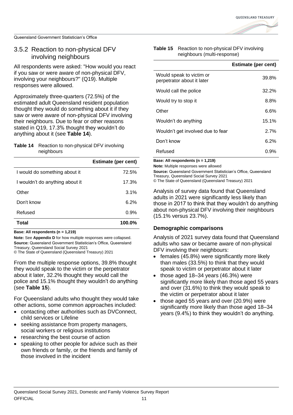### 3.5.2 Reaction to non-physical DFV involving neighbours

All respondents were asked: "How would you react if you saw or were aware of non-physical DFV, involving your neighbours?" (Q19). Multiple responses were allowed.

Approximately three-quarters (72.5%) of the estimated adult Queensland resident population thought they would do something about it if they saw or were aware of non-physical DFV involving their neighbours. Due to fear or other reasons stated in Q19, 17.3% thought they wouldn't do anything about it (see **[Table 14](#page-17-0)**).

#### <span id="page-17-0"></span>**Table 14** Reaction to non-physical DFV involving neighbours

|                                 | <b>Estimate (per cent)</b> |
|---------------------------------|----------------------------|
| I would do something about it   | 72.5%                      |
| I wouldn't do anything about it | 17.3%                      |
| Other                           | 3.1%                       |
| Don't know                      | 6.2%                       |
| Refused                         | 0.9%                       |
| Total                           | 100.0%                     |

**Base: All respondents (n = 1,219)**

**Note:** See **[Appendix D](#page-43-0)** for how multiple responses were collapsed. **Source:** Queensland Government Statistician's Office, Queensland Treasury, Queensland Social Survey 2021 © The State of Queensland (Queensland Treasury) 2021

From the multiple response options, 39.8% thought they would speak to the victim or the perpetrator about it later, 32.2% thought they would call the police and 15.1% thought they wouldn't do anything (see **[Table 15](#page-17-1)**).

For Queensland adults who thought they would take other actions, some common approaches included:

- contacting other authorities such as DVConnect. child services or Lifeline
- seeking assistance from property managers, social workers or religious institutions
- researching the best course of action
- speaking to other people for advice such as their own friends or family, or the friends and family of those involved in the incident

#### <span id="page-17-1"></span>**Table 15** Reaction to non-physical DFV involving neighbours (multi-response)

|                                                        | <b>Estimate (per cent)</b> |
|--------------------------------------------------------|----------------------------|
| Would speak to victim or<br>perpetrator about it later | 39.8%                      |
| Would call the police                                  | 32.2%                      |
| Would try to stop it                                   | 8.8%                       |
| Other                                                  | 6.6%                       |
| Wouldn't do anything                                   | 15.1%                      |
| Wouldn't get involved due to fear                      | 2.7%                       |
| Don't know                                             | 6.2%                       |
| Refused                                                | 0.9%                       |

**Base: All respondents (n = 1,219)**

**Note:** Multiple responses were allowed

**Source:** Queensland Government Statistician's Office, Queensland Treasury, Queensland Social Survey 2021

© The State of Queensland (Queensland Treasury) 2021

Analysis of survey data found that Queensland adults in 2021 were significantly less likely than those in 2017 to think that they wouldn't do anything about non-physical DFV involving their neighbours (15.1% versus 23.7%).

#### **Demographic comparisons**

Analysis of 2021 survey data found that Queensland adults who saw or became aware of non-physical DFV involving their neighbours:

- females (45.8%) were significantly more likely than males (33.5%) to think that they would speak to victim or perpetrator about it later
- those aged 18–34 years (46.3%) were significantly more likely than those aged 55 years and over (31.6%) to think they would speak to the victim or perpetrator about it later
- those aged 55 years and over (20.9%) were significantly more likely than those aged 18–34 years (9.4%) to think they wouldn't do anything.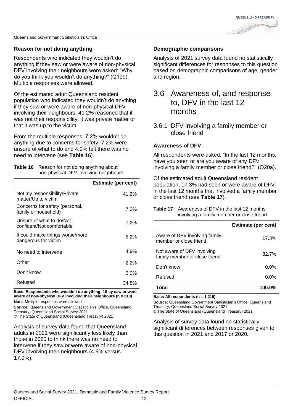

#### **Reason for not doing anything**

Respondents who indicated they wouldn't do anything if they saw or were aware of non-physical DFV involving their neighbours were asked: "Why do you think you wouldn't do anything?" (Q19b). Multiple responses were allowed.

Of the estimated adult Queensland resident population who indicated they wouldn't do anything if they saw or were aware of non-physical DFV involving their neighbours, 41.2% reasoned that it was not their responsibility, it was private matter or that it was up to the victim.

From the multiple responses, 7.2% wouldn't do anything due to concerns for safety, 7.2% were unsure of what to do and 4.9% felt there was no need to intervene (see **[Table 16](#page-18-1)**).

<span id="page-18-1"></span>

| <b>Table 16</b> Reason for not doing anything about |  |
|-----------------------------------------------------|--|
| non-physical DFV involving neighbours               |  |

|                                                         | <b>Estimate (per cent)</b> |
|---------------------------------------------------------|----------------------------|
| Not my responsibility/Private<br>matter/Up to victim    | 41.2%                      |
| Concerns for safety (personal,<br>family or household)  | 7.2%                       |
| Unsure of what to do/Not<br>confident/Not comfortable   | 7.2%                       |
| It could make things worse/more<br>dangerous for victim | $5.2\%$                    |
| No need to intervene                                    | 4.9%                       |
| Other                                                   | 2.2%                       |
| Don't know                                              | 2.0%                       |
| Refused                                                 | 34.8%                      |

**Base: Respondents who wouldn't do anything if they saw or were aware of non-physical DFV involving their neighbours (n = 210) Note**: Multiple responses were allowed

**Source:** Queensland Government Statistician's Office, Queensland Treasury, Queensland Social Survey 2021

© The State of Queensland (Queensland Treasury) 2021

Analysis of survey data found that Queensland adults in 2021 were significantly less likely than those in 2020 to think there was no need to intervene if they saw or were aware of non-physical DFV involving their neighbours (4.9% versus 17.9%).

#### **Demographic comparisons**

Analysis of 2021 survey data found no statistically significant differences for responses to this question based on demographic comparisons of age, gender and region.

### <span id="page-18-0"></span>3.6 Awareness of, and response to, DFV in the last 12 months

3.6.1 DFV involving a family member or close friend

#### **Awareness of DFV**

All respondents were asked: "In the last 12 months, have you seen or are you aware of any DFV involving a family member or close friend?" (Q20a).

Of the estimated adult Queensland resident population, 17.3% had seen or were aware of DFV in the last 12 months that involved a family member or close friend (see **[Table 17](#page-18-2)**).

<span id="page-18-2"></span>

| <b>Table 17</b> Awareness of DFV in the last 12 months |
|--------------------------------------------------------|
| involving a family member or close friend              |

|                                                             | <b>Estimate (per cent)</b> |
|-------------------------------------------------------------|----------------------------|
| Aware of DFV involving family<br>member or close friend     | 17.3%                      |
| Not aware of DFV involving<br>family member or close friend | 82.7%                      |
| Don't know                                                  | $0.0\%$                    |
| Refused                                                     | $0.0\%$                    |
| ⊺otal                                                       | 100.0%                     |

**Base: All respondents (n = 1,219)**

**Source:** Queensland Government Statistician's Office, Queensland Treasury, Queensland Social Survey 2021

© The State of Queensland (Queensland Treasury) 2021

Analysis of survey data found no statistically significant differences between responses given to this question in 2021 and 2017 or 2020.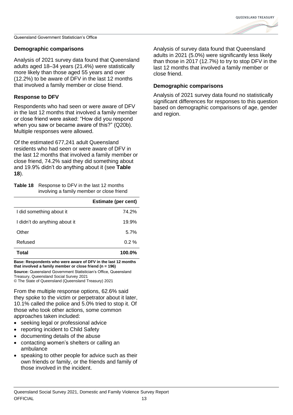

#### **Demographic comparisons**

Analysis of 2021 survey data found that Queensland adults aged 18–34 years (21.4%) were statistically more likely than those aged 55 years and over (12.2%) to be aware of DFV in the last 12 months that involved a family member or close friend.

#### **Response to DFV**

Respondents who had seen or were aware of DFV in the last 12 months that involved a family member or close friend were asked: "How did you respond when you saw or became aware of this?" (Q20b). Multiple responses were allowed.

Of the estimated 677,241 adult Queensland residents who had seen or were aware of DFV in the last 12 months that involved a family member or close friend, 74.2% said they did something about and 19.9% didn't do anything about it (see **[Table](#page-19-0)  [18](#page-19-0)**).

<span id="page-19-0"></span>**Table 18** Response to DFV in the last 12 months involving a family member or close friend

|                               | <b>Estimate (per cent)</b> |
|-------------------------------|----------------------------|
| I did something about it      | 74.2%                      |
| I didn't do anything about it | 19.9%                      |
| Other                         | 5.7%                       |
| Refused                       | $0.2 \%$                   |
| Total                         | 100.0%                     |

**Base: Respondents who were aware of DFV in the last 12 months that involved a family member or close friend (n = 196) Source:** Queensland Government Statistician's Office, Queensland

Treasury, Queensland Social Survey 2021 © The State of Queensland (Queensland Treasury) 2021

From the multiple response options, 62.6% said they spoke to the victim or perpetrator about it later, 10.1% called the police and 5.0% tried to stop it. Of those who took other actions, some common approaches taken included:

- seeking legal or professional advice
- reporting incident to Child Safety
- documenting details of the abuse
- contacting women's shelters or calling an ambulance
- speaking to other people for advice such as their own friends or family, or the friends and family of those involved in the incident.

Analysis of survey data found that Queensland adults in 2021 (5.0%) were significantly less likely than those in 2017 (12.7%) to try to stop DFV in the last 12 months that involved a family member or close friend.

#### **Demographic comparisons**

Analysis of 2021 survey data found no statistically significant differences for responses to this question based on demographic comparisons of age, gender and region.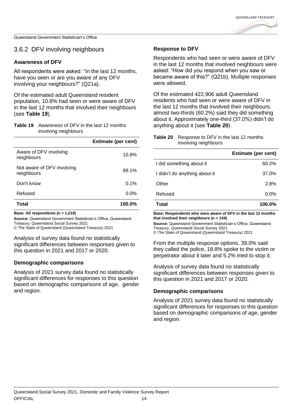**OUFFNSI AND TREASURY** 

Queensland Government Statistician's Office

#### 3.6.2 DFV involving neighbours

#### **Awareness of DFV**

All respondents were asked: "In the last 12 months, have you seen or are you aware of any DFV involving your neighbours?" (Q21a).

Of the estimated adult Queensland resident population, 10.8% had seen or were aware of DFV in the last 12 months that involved their neighbours (see **[Table 19](#page-20-0)**).

#### <span id="page-20-0"></span>**Table 19** Awareness of DFV in the last 12 months involving neighbours

|                                          | <b>Estimate (per cent)</b> |
|------------------------------------------|----------------------------|
| Aware of DFV involving<br>neighbours     | 10.8%                      |
| Not aware of DFV involving<br>neighbours | 89.1%                      |
| Don't know                               | 0.1%                       |
| Refused                                  | $0.0\%$                    |
| Total                                    | 100.0%                     |

**Base: All respondents (n = 1,219)**

**Source:** Queensland Government Statistician's Office, Queensland Treasury, Queensland Social Survey 2021

© The State of Queensland (Queensland Treasury) 2021

Analysis of survey data found no statistically significant differences between responses given to this question in 2021 and 2017 or 2020.

#### **Demographic comparisons**

Analysis of 2021 survey data found no statistically significant differences for responses to this question based on demographic comparisons of age, gender and region.

#### **Response to DFV**

Respondents who had seen or were aware of DFV in the last 12 months that involved neighbours were asked: "How did you respond when you saw or became aware of this?" (Q21b). Multiple responses were allowed.

Of the estimated 422,906 adult Queensland residents who had seen or were aware of DFV in the last 12 months that involved their neighbours, almost two-thirds (60.2%) said they did something about it. Approximately one-third (37.0%) didn't do anything about it (see **[Table 20](#page-20-1)**).

<span id="page-20-1"></span>

| <b>Table 20</b> Response to DFV in the last 12 months |
|-------------------------------------------------------|
| involving neighbours                                  |

|                               | <b>Estimate (per cent)</b> |
|-------------------------------|----------------------------|
| I did something about it      | 60.2%                      |
| I didn't do anything about it | 37.0%                      |
| Other                         | 2.8%                       |
| Refused                       | $0.0\%$                    |
| Total                         | 100.0%                     |

**Base: Respondents who were aware of DFV in the last 12 months that involved their neighbours (n = 144)**

**Source:** Queensland Government Statistician's Office, Queensland Treasury, Queensland Social Survey 2021

© The State of Queensland (Queensland Treasury) 2021

From the multiple response options, 39.0% said they called the police, 18.8% spoke to the victim or perpetrator about it later and 5.2% tried to stop it.

Analysis of survey data found no statistically significant differences between responses given to this question in 2021 and 2017 or 2020.

#### **Demographic comparisons**

Analysis of 2021 survey data found no statistically significant differences for responses to this question based on demographic comparisons of age, gender and region.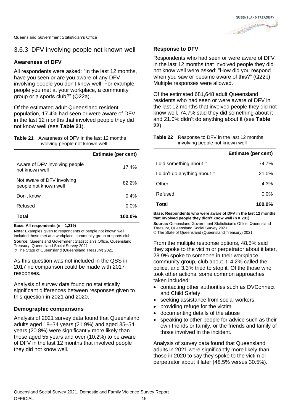**OUFFNSI AND TREASURY** 

Queensland Government Statistician's Office

### 3.6.3 DFV involving people not known well

#### **Awareness of DFV**

All respondents were asked: "In the last 12 months, have you seen or are you aware of any DFV involving people you don't know well. For example, people you met at your workplace, a community group or a sports club?" (Q22a).

Of the estimated adult Queensland resident population, 17.4% had seen or were aware of DFV in the last 12 months that involved people they did not know well (see **[Table 21](#page-21-0)**).

#### <span id="page-21-0"></span>**Table 21** Awareness of DFV in the last 12 months involving people not known well

|                                                     | <b>Estimate (per cent)</b> |
|-----------------------------------------------------|----------------------------|
| Aware of DFV involving people<br>not known well     | 17.4%                      |
| Not aware of DFV involving<br>people not known well | 82.2%                      |
| Don't know                                          | 0.4%                       |
| Refused                                             | $0.0\%$                    |
| Total                                               | 100.0%                     |

**Base: All respondents (n = 1,219)**

**Note:** Examples given to respondents of people not known well included those met at a workplace, community group or sports club. **Source:** Queensland Government Statistician's Office, Queensland Treasury, Queensland Social Survey 2021

© The State of Queensland (Queensland Treasury) 2021

As this question was not included in the QSS in 2017 no comparison could be made with 2017 responses.

Analysis of survey data found no statistically significant differences between responses given to this question in 2021 and 2020.

#### **Demographic comparisons**

Analysis of 2021 survey data found that Queensland adults aged 18–34 years (21.9%) and aged 35–54 years (20.8%) were significantly more likely than those aged 55 years and over (10.2%) to be aware of DFV in the last 12 months that involved people they did not know well.

#### **Response to DFV**

Respondents who had seen or were aware of DFV in the last 12 months that involved people they did not know well were asked: "How did you respond when you saw or became aware of this?" (Q22b). Multiple responses were allowed.

Of the estimated 681,648 adult Queensland residents who had seen or were aware of DFV in the last 12 months that involved people they did not know well, 74.7% said they did something about it and 21.0% didn't do anything about it (see **[Table](#page-21-1)  [22](#page-21-1)**).

<span id="page-21-1"></span>**Table 22** Response to DFV in the last 12 months involving people not known well

|                               | <b>Estimate (per cent)</b> |
|-------------------------------|----------------------------|
| I did something about it      | 74.7%                      |
| I didn't do anything about it | 21.0%                      |
| Other                         | 4.3%                       |
| Refused                       | $0.0\%$                    |
| Total                         | $100.0\%$                  |

**Base: Respondents who were aware of DFV in the last 12 months that involved people they didn't know well (n = 201)**

**Source:** Queensland Government Statistician's Office, Queensland Treasury, Queensland Social Survey 2021

© The State of Queensland (Queensland Treasury) 2021

From the multiple response options, 48.5% said they spoke to the victim or perpetrator about it later, 23.9% spoke to someone in their workplace, community group, club about it, 4.2% called the police, and 3.3% tried to stop it. Of the those who took other actions, some common approaches taken included:

- contacting other authorities such as DVConnect and Child Safety
- seeking assistance from social workers
- providing refuge for the victim
- documenting details of the abuse
- speaking to other people for advice such as their own friends or family, or the friends and family of those involved in the incident.

Analysis of survey data found that Queensland adults in 2021 were significantly more likely than those in 2020 to say they spoke to the victim or perpetrator about it later (48.5% versus 30.5%).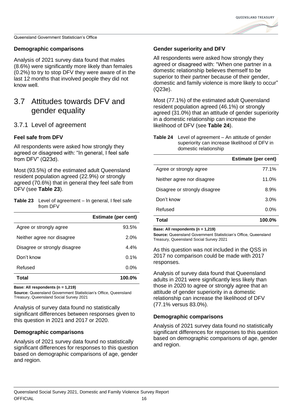

#### **Demographic comparisons**

Analysis of 2021 survey data found that males (8.6%) were significantly more likely than females (0.2%) to try to stop DFV they were aware of in the last 12 months that involved people they did not know well.

### <span id="page-22-0"></span>3.7 Attitudes towards DFV and gender equality

#### 3.7.1 Level of agreement

#### **Feel safe from DFV**

All respondents were asked how strongly they agreed or disagreed with: "In general, I feel safe from DFV" (Q23d).

Most (93.5%) of the estimated adult Queensland resident population agreed (22.9%) or strongly agreed (70.6%) that in general they feel safe from DFV (see **[Table 23](#page-22-1)**).

<span id="page-22-1"></span>

| <b>Table 23</b> Level of agreement – In general, I feel safe |
|--------------------------------------------------------------|
| from DFV                                                     |

|                               | <b>Estimate (per cent)</b> |
|-------------------------------|----------------------------|
| Agree or strongly agree       | 93.5%                      |
| Neither agree nor disagree    | 2.0%                       |
| Disagree or strongly disagree | $4.4\%$                    |
| Don't know                    | 0.1%                       |
| Refused                       | $0.0\%$                    |
| Total                         | $100.0\%$                  |

**Base: All respondents (n = 1,219)**

**Source:** Queensland Government Statistician's Office, Queensland Treasury, Queensland Social Survey 2021

Analysis of survey data found no statistically significant differences between responses given to this question in 2021 and 2017 or 2020.

#### **Demographic comparisons**

Analysis of 2021 survey data found no statistically significant differences for responses to this question based on demographic comparisons of age, gender and region.

#### **Gender superiority and DFV**

All respondents were asked how strongly they agreed or disagreed with: "When one partner in a domestic relationship believes themself to be superior to their partner because of their gender, domestic and family violence is more likely to occur" (Q23e).

Most (77.1%) of the estimated adult Queensland resident population agreed (46.1%) or strongly agreed (31.0%) that an attitude of gender superiority in a domestic relationship can increase the likelihood of DFV (see **[Table 24](#page-22-2)**).

<span id="page-22-2"></span>

| <b>Table 24</b> Level of agreement – An attitude of gender |
|------------------------------------------------------------|
| superiority can increase likelihood of DFV in              |
| domestic relationship                                      |

|                               | <b>Estimate (per cent)</b> |
|-------------------------------|----------------------------|
| Agree or strongly agree       | 77.1%                      |
| Neither agree nor disagree    | 11.0%                      |
| Disagree or strongly disagree | $8.9\%$                    |
| Don't know                    | 3.0%                       |
| Refused                       | $0.0\%$                    |
| Total                         | 100.0%                     |

**Base: All respondents (n = 1,219)**

**Source:** Queensland Government Statistician's Office, Queensland Treasury, Queensland Social Survey 2021

As this question was not included in the QSS in 2017 no comparison could be made with 2017 responses.

Analysis of survey data found that Queensland adults in 2021 were significantly less likely than those in 2020 to agree or strongly agree that an attitude of gender superiority in a domestic relationship can increase the likelihood of DFV (77.1% versus 83.0%).

#### **Demographic comparisons**

Analysis of 2021 survey data found no statistically significant differences for responses to this question based on demographic comparisons of age, gender and region.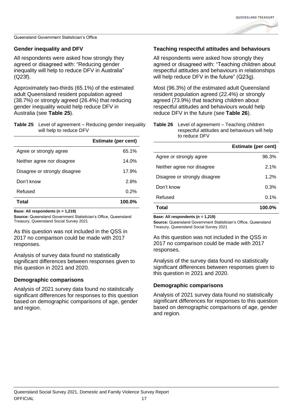

#### **Gender inequality and DFV**

All respondents were asked how strongly they agreed or disagreed with: "Reducing gender inequality will help to reduce DFV in Australia" (Q23f).

Approximately two-thirds (65.1%) of the estimated adult Queensland resident population agreed (38.7%) or strongly agreed (26.4%) that reducing gender inequality would help reduce DFV in Australia (see **[Table 25](#page-23-0)**).

<span id="page-23-0"></span>

| <b>Table 25</b> Level of agreement – Reducing gender inequality |
|-----------------------------------------------------------------|
| will help to reduce DFV                                         |

|                               | <b>Estimate (per cent)</b> |
|-------------------------------|----------------------------|
| Agree or strongly agree       | 65.1%                      |
| Neither agree nor disagree    | 14.0%                      |
| Disagree or strongly disagree | 17.9%                      |
| Don't know                    | 2.8%                       |
| Refused                       | 0.2%                       |
| Total                         | 100.0%                     |

**Base: All respondents (n = 1,219)**

**Source:** Queensland Government Statistician's Office, Queensland Treasury, Queensland Social Survey 2021

As this question was not included in the QSS in 2017 no comparison could be made with 2017 responses.

Analysis of survey data found no statistically significant differences between responses given to this question in 2021 and 2020.

#### **Demographic comparisons**

Analysis of 2021 survey data found no statistically significant differences for responses to this question based on demographic comparisons of age, gender and region.

#### **Teaching respectful attitudes and behaviours**

All respondents were asked how strongly they agreed or disagreed with: "Teaching children about respectful attitudes and behaviours in relationships will help reduce DFV in the future" (Q23g).

Most (96.3%) of the estimated adult Queensland resident population agreed (22.4%) or strongly agreed (73.9%) that teaching children about respectful attitudes and behaviours would help reduce DFV in the future (see **[Table 26](#page-23-1)**).

<span id="page-23-1"></span>**Table 26** Level of agreement – Teaching children respectful attitudes and behaviours will help to reduce DFV

|                               | <b>Estimate (per cent)</b> |
|-------------------------------|----------------------------|
| Agree or strongly agree       | 96.3%                      |
| Neither agree nor disagree    | $2.1\%$                    |
| Disagree or strongly disagree | $1.2\%$                    |
| Don't know                    | 0.3%                       |
| Refused                       | 0.1%                       |
| Total                         | 100.0%                     |

**Base: All respondents (n = 1,219)**

**Source:** Queensland Government Statistician's Office, Queensland Treasury, Queensland Social Survey 2021

As this question was not included in the QSS in 2017 no comparison could be made with 2017 responses.

Analysis of the survey data found no statistically significant differences between responses given to this question in 2021 and 2020.

#### **Demographic comparisons**

Analysis of 2021 survey data found no statistically significant differences for responses to this question based on demographic comparisons of age, gender and region.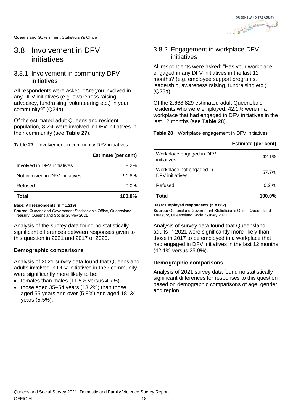### <span id="page-24-0"></span>3.8 Involvement in DFV initiatives

#### 3.8.1 Involvement in community DFV initiatives

All respondents were asked: "Are you involved in any DFV initiatives (e.g. awareness raising, advocacy, fundraising, volunteering etc.) in your community?" (Q24a).

Of the estimated adult Queensland resident population, 8.2% were involved in DFV initiatives in their community (see **[Table 27](#page-24-1)**).

<span id="page-24-1"></span>**Table 27** Involvement in community DFV initiatives

|                                 | <b>Estimate (per cent)</b> |
|---------------------------------|----------------------------|
| Involved in DFV initiatives     | 8.2%                       |
| Not involved in DFV initiatives | 91.8%                      |
| Refused                         | $0.0\%$                    |
| Total                           | 100.0%                     |

**Base: All respondents (n = 1,219)**

**Source:** Queensland Government Statistician's Office, Queensland Treasury, Queensland Social Survey 2021

Analysis of the survey data found no statistically significant differences between responses given to this question in 2021 and 2017 or 2020.

#### **Demographic comparisons**

Analysis of 2021 survey data found that Queensland adults involved in DFV initiatives in their community were significantly more likely to be:

- females than males (11.5% versus 4.7%)
- those aged 35–54 years (13.2%) than those aged 55 years and over (5.8%) and aged 18–34 years (5.5%).

### 3.8.2 Engagement in workplace DFV initiatives

All respondents were asked: "Has your workplace engaged in any DFV initiatives in the last 12 months? (e.g. employee support programs, leadership, awareness raising, fundraising etc.)" (Q25a).

Of the 2,668,829 estimated adult Queensland residents who were employed, 42.1% were in a workplace that had engaged in DFV initiatives in the last 12 months (see **[Table 28](#page-24-2)**).

<span id="page-24-2"></span>**Table 28** Workplace engagement in DFV initiatives

|                                             | <b>Estimate (per cent)</b> |
|---------------------------------------------|----------------------------|
| Workplace engaged in DFV<br>initiatives     | 42.1%                      |
| Workplace not engaged in<br>DFV initiatives | 57.7%                      |
| Refused                                     | $0.2 \%$                   |
| Total                                       | 100.0%                     |

**Base: Employed respondents (n = 682)**

**Source:** Queensland Government Statistician's Office, Queensland Treasury, Queensland Social Survey 2021

Analysis of survey data found that Queensland adults in 2021 were significantly more likely than those in 2017 to be employed in a workplace that had engaged in DFV initiatives in the last 12 months (42.1% versus 25.9%).

#### **Demographic comparisons**

Analysis of 2021 survey data found no statistically significant differences for responses to this question based on demographic comparisons of age, gender and region.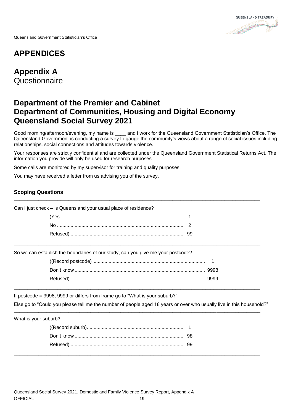## <span id="page-25-0"></span>**APPENDICES**

<span id="page-25-1"></span>**Appendix A Questionnaire** 

### **Department of the Premier and Cabinet Department of Communities, Housing and Digital Economy Queensland Social Survey 2021**

Good morning/afternoon/evening, my name is \_\_\_\_ and I work for the Queensland Government Statistician's Office. The Queensland Government is conducting a survey to gauge the community's views about a range of social issues including relationships, social connections and attitudes towards violence.

Your responses are strictly confidential and are collected under the Queensland Government Statistical Returns Act. The information you provide will only be used for research purposes.

\_\_\_\_\_\_\_\_\_\_\_\_\_\_\_\_\_\_\_\_\_\_\_\_\_\_\_\_\_\_\_\_\_\_\_\_\_\_\_\_\_\_\_\_\_\_\_\_\_\_\_\_\_\_\_\_\_\_\_\_\_\_\_\_\_\_\_\_\_\_\_\_\_\_\_\_\_\_\_\_\_\_\_\_\_\_\_\_\_\_

\_\_\_\_\_\_\_\_\_\_\_\_\_\_\_\_\_\_\_\_\_\_\_\_\_\_\_\_\_\_\_\_\_\_\_\_\_\_\_\_\_\_\_\_\_\_\_\_\_\_\_\_\_\_\_\_\_\_\_\_\_\_\_\_\_\_\_\_\_\_\_\_\_\_\_\_\_\_\_\_\_\_\_\_\_\_\_\_\_\_

Some calls are monitored by my supervisor for training and quality purposes.

You may have received a letter from us advising you of the survey.

#### **Scoping Questions**

Can I just check – is Queensland your usual place of residence?

So we can establish the boundaries of our study, can you give me your postcode?

\_\_\_\_\_\_\_\_\_\_\_\_\_\_\_\_\_\_\_\_\_\_\_\_\_\_\_\_\_\_\_\_\_\_\_\_\_\_\_\_\_\_\_\_\_\_\_\_\_\_\_\_\_\_\_\_\_\_\_\_\_\_\_\_\_\_\_\_\_\_\_\_\_\_\_\_\_\_\_\_\_\_\_\_\_\_\_\_\_\_

\_\_\_\_\_\_\_\_\_\_\_\_\_\_\_\_\_\_\_\_\_\_\_\_\_\_\_\_\_\_\_\_\_\_\_\_\_\_\_\_\_\_\_\_\_\_\_\_\_\_\_\_\_\_\_\_\_\_\_\_\_\_\_\_\_\_\_\_\_\_\_\_\_\_\_\_\_\_\_\_\_\_\_\_\_\_\_\_\_\_

\_\_\_\_\_\_\_\_\_\_\_\_\_\_\_\_\_\_\_\_\_\_\_\_\_\_\_\_\_\_\_\_\_\_\_\_\_\_\_\_\_\_\_\_\_\_\_\_\_\_\_\_\_\_\_\_\_\_\_\_\_\_\_\_\_\_\_\_\_\_\_\_\_\_\_\_\_\_\_\_\_\_\_\_\_\_\_\_\_\_

\_\_\_\_\_\_\_\_\_\_\_\_\_\_\_\_\_\_\_\_\_\_\_\_\_\_\_\_\_\_\_\_\_\_\_\_\_\_\_\_\_\_\_\_\_\_\_\_\_\_\_\_\_\_\_\_\_\_\_\_\_\_\_\_\_\_\_\_\_\_\_\_\_\_\_\_\_\_\_\_\_\_\_\_\_\_\_\_\_\_

If postcode = 9998, 9999 or differs from frame go to "What is your suburb?"

Else go to "Could you please tell me the number of people aged 18 years or over who usually live in this household?"

What is your suburb?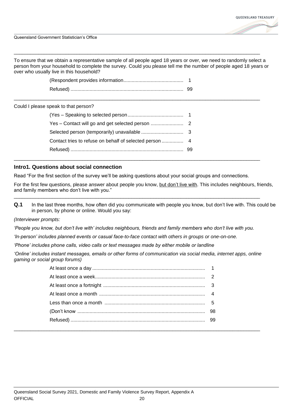

To ensure that we obtain a representative sample of all people aged 18 years or over, we need to randomly select a person from your household to complete the survey. Could you please tell me the number of people aged 18 years or over who usually live in this household?

\_\_\_\_\_\_\_\_\_\_\_\_\_\_\_\_\_\_\_\_\_\_\_\_\_\_\_\_\_\_\_\_\_\_\_\_\_\_\_\_\_\_\_\_\_\_\_\_\_\_\_\_\_\_\_\_\_\_\_\_\_\_\_\_\_\_\_\_\_\_\_\_\_\_\_\_\_\_\_\_\_\_\_\_\_\_\_\_\_\_

\_\_\_\_\_\_\_\_\_\_\_\_\_\_\_\_\_\_\_\_\_\_\_\_\_\_\_\_\_\_\_\_\_\_\_\_\_\_\_\_\_\_\_\_\_\_\_\_\_\_\_\_\_\_\_\_\_\_\_\_\_\_\_\_\_\_\_\_\_\_\_\_\_\_\_\_\_\_\_\_\_\_\_\_\_\_\_\_\_\_

Could I please speak to that person?

#### **Intro1. Questions about social connection**

Read "For the first section of the survey we'll be asking questions about your social groups and connections.

\_\_\_\_\_\_\_\_\_\_\_\_\_\_\_\_\_\_\_\_\_\_\_\_\_\_\_\_\_\_\_\_\_\_\_\_\_\_\_\_\_\_\_\_\_\_\_\_\_\_\_\_\_\_\_\_\_\_\_\_\_\_\_\_\_\_\_\_\_\_\_\_\_\_\_\_\_\_\_\_\_\_\_\_\_\_\_\_\_\_

For the first few questions, please answer about people you know, but don't live with. This includes neighbours, friends, and family members who don't live with you." \_\_\_\_\_\_\_\_\_\_\_\_\_\_\_\_\_\_\_\_\_\_\_\_\_\_\_\_\_\_\_\_\_\_\_\_\_\_\_\_\_\_\_\_\_\_\_\_\_\_\_\_\_\_\_\_\_\_\_\_\_\_\_\_\_\_\_\_\_\_\_\_\_\_\_\_\_\_\_\_\_\_\_\_\_\_\_\_\_\_

**Q.1** In the last three months, how often did you communicate with people you know, but don't live with. This could be in person, by phone or online. Would you say:

*(Interviewer prompts:* 

*'People you know, but don't live with' includes neighbours, friends and family members who don't live with you.*

*'In-person' includes planned events or casual face-to-face contact with others in groups or one-on-one.* 

*'Phone' includes phone calls, video calls or text messages made by either mobile or landline*

*'Online' includes instant messages, emails or other forms of communication via social media, internet apps, online gaming or social group forums)*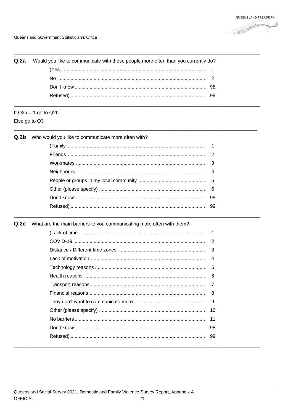

| <b>Q.2a</b> Would you like to communicate with these people more often than you currently do? |  |
|-----------------------------------------------------------------------------------------------|--|
|                                                                                               |  |
|                                                                                               |  |
|                                                                                               |  |
|                                                                                               |  |

## If  $Q2a = 1$  go to  $Q2b$

Else go to Q3

| Q.2b Who would you like to communicate more often with? |
|---------------------------------------------------------|
|---------------------------------------------------------|

Q.2c What are the main barriers to you communicating more often with them?

|  | 3  |
|--|----|
|  | 4  |
|  | 5  |
|  | 6  |
|  |    |
|  | 8  |
|  | 9  |
|  | 10 |
|  | 11 |
|  | 98 |
|  | 99 |
|  |    |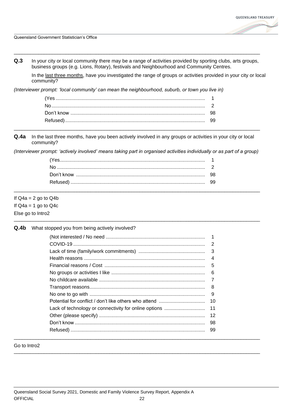

**Q.3** In your city or local community there may be a range of activities provided by sporting clubs, arts groups, business groups (e.g. Lions, Rotary), festivals and Neighbourhood and Community Centres.

\_\_\_\_\_\_\_\_\_\_\_\_\_\_\_\_\_\_\_\_\_\_\_\_\_\_\_\_\_\_\_\_\_\_\_\_\_\_\_\_\_\_\_\_\_\_\_\_\_\_\_\_\_\_\_\_\_\_\_\_\_\_\_\_\_\_\_\_\_\_\_\_\_\_\_\_\_\_\_\_\_\_\_\_\_\_\_\_\_\_

In the last three months, have you investigated the range of groups or activities provided in your city or local community?

*(Interviewer prompt: 'local community' can mean the neighbourhood, suburb, or town you live in)*

| Don't know |  |
|------------|--|
|            |  |
|            |  |

**Q.4a** In the last three months, have you been actively involved in any groups or activities in your city or local community?

*(Interviewer prompt: 'actively involved' means taking part in organised activities individually or as part of a group)*

\_\_\_\_\_\_\_\_\_\_\_\_\_\_\_\_\_\_\_\_\_\_\_\_\_\_\_\_\_\_\_\_\_\_\_\_\_\_\_\_\_\_\_\_\_\_\_\_\_\_\_\_\_\_\_\_\_\_\_\_\_\_\_\_\_\_\_\_\_\_\_\_\_\_\_\_\_\_\_\_\_\_\_\_\_\_\_\_\_\_

\_\_\_\_\_\_\_\_\_\_\_\_\_\_\_\_\_\_\_\_\_\_\_\_\_\_\_\_\_\_\_\_\_\_\_\_\_\_\_\_\_\_\_\_\_\_\_\_\_\_\_\_\_\_\_\_\_\_\_\_\_\_\_\_\_\_\_\_\_\_\_\_\_\_\_\_\_\_\_\_\_\_\_\_\_\_\_\_\_\_

#### If  $Q4a = 2$  go to  $Q4b$

If  $Q4a = 1$  go to  $Q4c$ 

#### Else go to Intro2

**Q.4b** What stopped you from being actively involved?

| 3              |
|----------------|
| $\overline{4}$ |
| 5              |
| 6              |
|                |
| 8              |
| 9              |
| 10             |
| 11             |
|                |
|                |
|                |
|                |

\_\_\_\_\_\_\_\_\_\_\_\_\_\_\_\_\_\_\_\_\_\_\_\_\_\_\_\_\_\_\_\_\_\_\_\_\_\_\_\_\_\_\_\_\_\_\_\_\_\_\_\_\_\_\_\_\_\_\_\_\_\_\_\_\_\_\_\_\_\_\_\_\_\_\_\_\_\_\_\_\_\_\_\_\_\_\_\_\_\_

Go to Intro2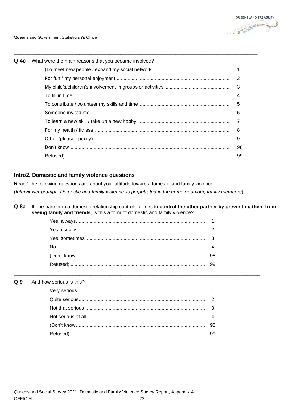

| Q.4c | What were the main reasons that you became involved? |                         |
|------|------------------------------------------------------|-------------------------|
|      |                                                      |                         |
|      |                                                      |                         |
|      |                                                      | $\overline{\mathbf{3}}$ |
|      |                                                      | 4                       |
|      |                                                      | 5                       |
|      |                                                      | 6                       |
|      |                                                      | $\overline{7}$          |
|      |                                                      | 8                       |
|      |                                                      | 9                       |
|      |                                                      | 98                      |
|      |                                                      | 99                      |

#### Intro2. Domestic and family violence questions

Read "The following questions are about your attitude towards domestic and family violence." (Interviewer prompt: 'Domestic and family violence' is perpetrated in the home or among family members)

Q.8a If one partner in a domestic relationship controls or tries to control the other partner by preventing them from seeing family and friends, is this a form of domestic and family violence?

#### $Q.9$ And how serious is this?

| 98 |
|----|
|    |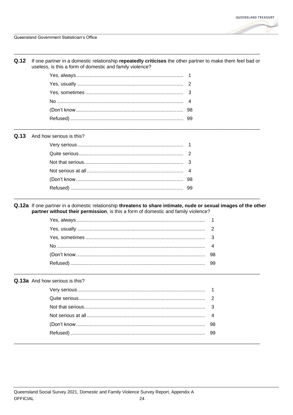#### Q.12 If one partner in a domestic relationship repeatedly criticises the other partner to make them feel bad or useless, is this a form of domestic and family violence?

#### Q.13 And how serious is this?

Q.12a If one partner in a domestic relationship threatens to share intimate, nude or sexual images of the other partner without their permission, is this a form of domestic and family violence?

#### Q.13a And how serious is this?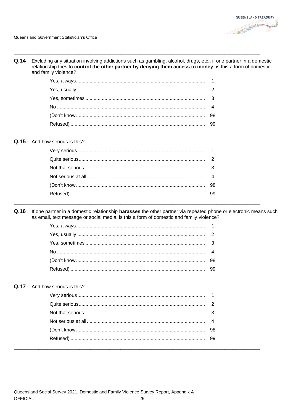Q.14 Excluding any situation involving addictions such as gambling, alcohol, drugs, etc., if one partner in a domestic relationship tries to control the other partner by denying them access to money, is this a form of domestic and family violence?

#### Q.15 And how serious is this?

 $Q.16$ If one partner in a domestic relationship harasses the other partner via repeated phone or electronic means such as email, text message or social media, is this a form of domestic and family violence?

#### Q.17 And how serious is this?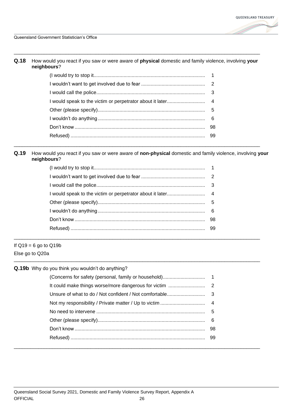

**Q.18** How would you react if you saw or were aware of **physical** domestic and family violence, involving **your neighbours**?

\_\_\_\_\_\_\_\_\_\_\_\_\_\_\_\_\_\_\_\_\_\_\_\_\_\_\_\_\_\_\_\_\_\_\_\_\_\_\_\_\_\_\_\_\_\_\_\_\_\_\_\_\_\_\_\_\_\_\_\_\_\_\_\_\_\_\_\_\_\_\_\_\_\_\_\_\_\_\_\_\_\_\_\_\_\_\_\_\_\_

**Q.19** How would you react if you saw or were aware of **non-physical** domestic and family violence, involving **your neighbours**?

\_\_\_\_\_\_\_\_\_\_\_\_\_\_\_\_\_\_\_\_\_\_\_\_\_\_\_\_\_\_\_\_\_\_\_\_\_\_\_\_\_\_\_\_\_\_\_\_\_\_\_\_\_\_\_\_\_\_\_\_\_\_\_\_\_\_\_\_\_\_\_\_\_\_\_\_\_\_\_\_\_\_\_\_\_\_\_\_\_\_

\_\_\_\_\_\_\_\_\_\_\_\_\_\_\_\_\_\_\_\_\_\_\_\_\_\_\_\_\_\_\_\_\_\_\_\_\_\_\_\_\_\_\_\_\_\_\_\_\_\_\_\_\_\_\_\_\_\_\_\_\_\_\_\_\_\_\_\_\_\_\_\_\_\_\_\_\_\_\_\_\_\_\_\_\_\_\_\_\_\_

\_\_\_\_\_\_\_\_\_\_\_\_\_\_\_\_\_\_\_\_\_\_\_\_\_\_\_\_\_\_\_\_\_\_\_\_\_\_\_\_\_\_\_\_\_\_\_\_\_\_\_\_\_\_\_\_\_\_\_\_\_\_\_\_\_\_\_\_\_\_\_\_\_\_\_\_\_\_\_\_\_\_\_\_\_\_\_\_\_\_

If  $Q19 = 6$  go to  $Q19b$ Else go to Q20a

| Q.19b Why do you think you wouldn't do anything? |    |
|--------------------------------------------------|----|
|                                                  |    |
|                                                  |    |
|                                                  |    |
|                                                  |    |
|                                                  | -5 |
|                                                  |    |
|                                                  |    |
|                                                  |    |
|                                                  |    |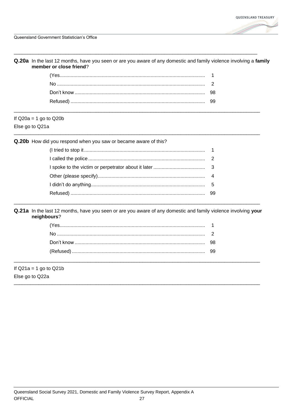Q.20a In the last 12 months, have you seen or are you aware of any domestic and family violence involving a family member or close friend?

### If  $Q20a = 1$  go to  $Q20b$

Else go to Q21a

Q.20b How did you respond when you saw or became aware of this?

Q.21a In the last 12 months, have you seen or are you aware of any domestic and family violence involving your neighbours?

If  $Q21a = 1$  go to  $Q21b$ Else go to Q22a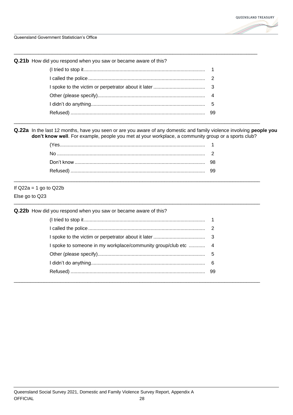

Q.21b How did you respond when you saw or became aware of this?

#### Q.22a In the last 12 months, have you seen or are you aware of any domestic and family violence involving people you don't know well. For example, people you met at your workplace, a community group or a sports club?

If  $Q22a = 1$  go to  $Q22b$ Else go to Q23

Q.22b How did you respond when you saw or became aware of this?  $\mathbf{1}$  $\overline{2}$ 3 I spoke to someone in my workplace/community group/club etc ............  $\overline{4}$ 5 6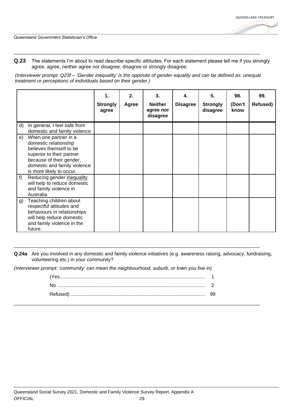**Q.23** The statements I'm about to read describe specific attitudes. For each statement please tell me if you strongly agree, agree, neither agree nor disagree, disagree or strongly disagree:

*(Interviewer prompt: Q23f – 'Gender inequality' is the opposite of gender equality and can be defined as: unequal treatment or perceptions of individuals based on their gender.)*

\_\_\_\_\_\_\_\_\_\_\_\_\_\_\_\_\_\_\_\_\_\_\_\_\_\_\_\_\_\_\_\_\_\_\_\_\_\_\_\_\_\_\_\_\_\_\_\_\_\_\_\_\_\_\_\_\_\_\_\_\_\_\_\_\_\_\_\_\_\_\_\_\_\_\_\_\_\_\_\_\_\_\_\_\_\_\_\_\_\_

|         |                                                                                                                                                                                                                                                              | 1.<br><b>Strongly</b><br>agree | 2.<br>Agree | 3.<br><b>Neither</b><br>agree nor<br>disagree | 4.<br><b>Disagree</b> | 5.<br><b>Strongly</b><br>disagree | 98.<br>(Don't<br>know | 99.<br>Refused) |
|---------|--------------------------------------------------------------------------------------------------------------------------------------------------------------------------------------------------------------------------------------------------------------|--------------------------------|-------------|-----------------------------------------------|-----------------------|-----------------------------------|-----------------------|-----------------|
| d)      | In general, I feel safe from<br>domestic and family violence                                                                                                                                                                                                 |                                |             |                                               |                       |                                   |                       |                 |
| e)<br>f | When one partner in a<br>domestic relationship<br>believes themself to be<br>superior to their partner<br>because of their gender,<br>domestic and family violence<br>is more likely to occur.<br>Reducing gender inequality<br>will help to reduce domestic |                                |             |                                               |                       |                                   |                       |                 |
|         | and family violence in<br>Australia.                                                                                                                                                                                                                         |                                |             |                                               |                       |                                   |                       |                 |
| g)      | Teaching children about<br>respectful attitudes and<br>behaviours in relationships<br>will help reduce domestic<br>and family violence in the<br>future.                                                                                                     |                                |             |                                               |                       |                                   |                       |                 |

**Q.24a** Are you involved in any domestic and family violence initiatives (e.g. awareness raising, advocacy, fundraising, volunteering etc.) in your community?

\_\_\_\_\_\_\_\_\_\_\_\_\_\_\_\_\_\_\_\_\_\_\_\_\_\_\_\_\_\_\_\_\_\_\_\_\_\_\_\_\_\_\_\_\_\_\_\_\_\_\_\_\_\_\_\_\_\_\_\_\_\_\_\_\_\_\_\_\_\_\_\_\_\_\_\_\_\_\_\_\_\_\_\_\_\_\_\_\_\_

*(Interviewer prompt: 'community' can mean the neighbourhood, suburb, or town you live in)*

| - 99 |
|------|

\_\_\_\_\_\_\_\_\_\_\_\_\_\_\_\_\_\_\_\_\_\_\_\_\_\_\_\_\_\_\_\_\_\_\_\_\_\_\_\_\_\_\_\_\_\_\_\_\_\_\_\_\_\_\_\_\_\_\_\_\_\_\_\_\_\_\_\_\_\_\_\_\_\_\_\_\_\_\_\_\_\_\_\_\_\_\_\_\_\_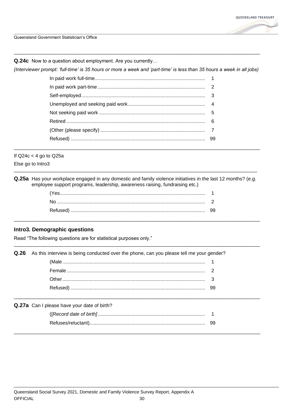

Q.24c Now to a question about employment. Are you currently...

(Interviewer prompt: 'full-time' is 35 hours or more a week and 'part-time' is less than 35 hours a week in all jobs)

If  $Q24c < 4$  go to  $Q25a$ 

Else go to Intro3

Q.25a Has your workplace engaged in any domestic and family violence initiatives in the last 12 months? (e.g. employee support programs, leadership, awareness raising, fundraising etc.)

#### Intro3. Demographic questions

Read "The following questions are for statistical purposes only."

Q.26 As this interview is being conducted over the phone, can you please tell me your gender?

Q.27a Can I please have your date of birth?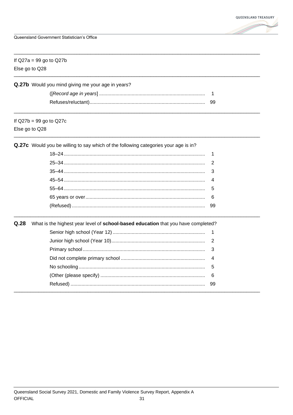

| If $Q27a = 99$ go to $Q27b$<br>Else go to Q28 |                                                                                     |                |  |  |
|-----------------------------------------------|-------------------------------------------------------------------------------------|----------------|--|--|
|                                               | Q.27b Would you mind giving me your age in years?                                   |                |  |  |
|                                               |                                                                                     | $\overline{1}$ |  |  |
|                                               |                                                                                     |                |  |  |
|                                               | If $Q27b = 99$ go to $Q27c$                                                         |                |  |  |
| Else go to Q28                                |                                                                                     |                |  |  |
|                                               | Q.27c Would you be willing to say which of the following categories your age is in? |                |  |  |
|                                               |                                                                                     | $\mathbf 1$    |  |  |
|                                               |                                                                                     | 2              |  |  |
|                                               |                                                                                     | 3              |  |  |
|                                               |                                                                                     | 4              |  |  |
|                                               |                                                                                     | 5              |  |  |
|                                               |                                                                                     | 6              |  |  |
|                                               |                                                                                     | -99            |  |  |
| Q.28                                          | What is the highest year level of school-based education that you have completed?   |                |  |  |
|                                               |                                                                                     | $\mathbf{1}$   |  |  |
|                                               |                                                                                     | $\overline{2}$ |  |  |
|                                               |                                                                                     | 3              |  |  |
|                                               |                                                                                     | 4              |  |  |
|                                               |                                                                                     | 5              |  |  |
|                                               |                                                                                     | 6              |  |  |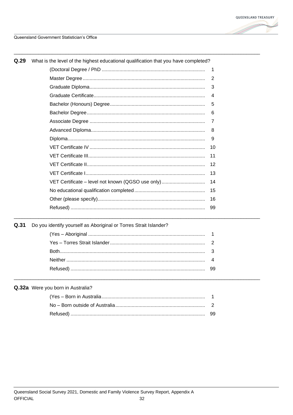

Q.31

| Q.29<br>What is the level of the highest educational qualification that you have completed? |                                                   |    |  |  |
|---------------------------------------------------------------------------------------------|---------------------------------------------------|----|--|--|
|                                                                                             |                                                   | 1  |  |  |
|                                                                                             |                                                   | 2  |  |  |
|                                                                                             |                                                   | 3  |  |  |
|                                                                                             |                                                   | 4  |  |  |
|                                                                                             |                                                   | 5  |  |  |
|                                                                                             |                                                   | 6  |  |  |
|                                                                                             |                                                   | 7  |  |  |
|                                                                                             |                                                   | 8  |  |  |
|                                                                                             |                                                   | 9  |  |  |
|                                                                                             |                                                   | 10 |  |  |
|                                                                                             |                                                   | 11 |  |  |
|                                                                                             |                                                   | 12 |  |  |
|                                                                                             |                                                   | 13 |  |  |
|                                                                                             | VET Certificate - level not known (QGSO use only) | 14 |  |  |
|                                                                                             |                                                   | 15 |  |  |
|                                                                                             |                                                   | 16 |  |  |
|                                                                                             |                                                   | 99 |  |  |
|                                                                                             |                                                   |    |  |  |

| Do you identify yourself as Aboriginal or Torres Strait Islander? |  |
|-------------------------------------------------------------------|--|
|                                                                   |  |
|                                                                   |  |
|                                                                   |  |
|                                                                   |  |
|                                                                   |  |
|                                                                   |  |

#### Q.32a Were you born in Australia?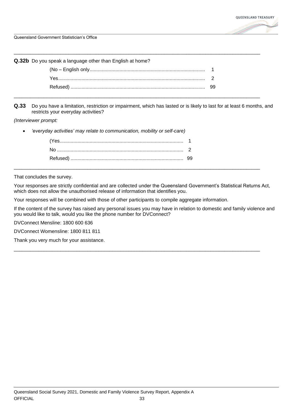

\_\_\_\_\_\_\_\_\_\_\_\_\_\_\_\_\_\_\_\_\_\_\_\_\_\_\_\_\_\_\_\_\_\_\_\_\_\_\_\_\_\_\_\_\_\_\_\_\_\_\_\_\_\_\_\_\_\_\_\_\_\_\_\_\_\_\_\_\_\_\_\_\_\_\_\_\_\_\_\_\_\_\_\_\_\_\_\_\_\_ **Q.32b** Do you speak a language other than English at home? (No – English only..................................................................................... 1 Yes............................................................................................................ 2 Refused) ................................................................................................... 99 \_\_\_\_\_\_\_\_\_\_\_\_\_\_\_\_\_\_\_\_\_\_\_\_\_\_\_\_\_\_\_\_\_\_\_\_\_\_\_\_\_\_\_\_\_\_\_\_\_\_\_\_\_\_\_\_\_\_\_\_\_\_\_\_\_\_\_\_\_\_\_\_\_\_\_\_\_\_\_\_\_\_\_\_\_\_\_\_\_\_

**Q.33** Do you have a limitation, restriction or impairment, which has lasted or is likely to last for at least 6 months, and restricts your everyday activities?

*(Interviewer prompt:* 

• *'everyday activities' may relate to communication, mobility or self-care)*

| (Yes |  |
|------|--|
|      |  |
|      |  |

That concludes the survey.

Your responses are strictly confidential and are collected under the Queensland Government's Statistical Returns Act, which does not allow the unauthorised release of information that identifies you.

\_\_\_\_\_\_\_\_\_\_\_\_\_\_\_\_\_\_\_\_\_\_\_\_\_\_\_\_\_\_\_\_\_\_\_\_\_\_\_\_\_\_\_\_\_\_\_\_\_\_\_\_\_\_\_\_\_\_\_\_\_\_\_\_\_\_\_\_\_\_\_\_\_\_\_\_\_\_\_\_\_\_\_\_\_\_\_\_\_\_

Your responses will be combined with those of other participants to compile aggregate information.

If the content of the survey has raised any personal issues you may have in relation to domestic and family violence and you would like to talk, would you like the phone number for DVConnect?

\_\_\_\_\_\_\_\_\_\_\_\_\_\_\_\_\_\_\_\_\_\_\_\_\_\_\_\_\_\_\_\_\_\_\_\_\_\_\_\_\_\_\_\_\_\_\_\_\_\_\_\_\_\_\_\_\_\_\_\_\_\_\_\_\_\_\_\_\_\_\_\_\_\_\_\_\_\_\_\_\_\_\_\_\_\_\_\_\_\_

DVConnect Mensline: 1800 600 636

DVConnect Womensline: 1800 811 811

Thank you very much for your assistance.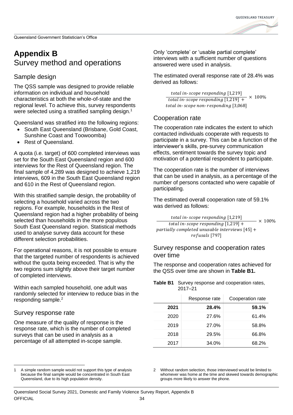

### <span id="page-40-2"></span><span id="page-40-0"></span>**Appendix B** Survey method and operations

### Sample design

The QSS sample was designed to provide reliable information on individual and household characteristics at both the whole-of-state and the regional level. To achieve this, survey respondents were selected using a stratified sampling design.<sup>1</sup>

Queensland was stratified into the following regions:

- South East Queensland (Brisbane, Gold Coast, Sunshine Coast and Toowoomba)
- Rest of Queensland.

A quota (i.e. target) of 600 completed interviews was set for the South East Queensland region and 600 interviews for the Rest of Queensland region. The final sample of 4,289 was designed to achieve 1,219 interviews, 609 in the South East Queensland region and 610 in the Rest of Queensland region.

With this stratified sample design, the probability of selecting a household varied across the two regions. For example, households in the Rest of Queensland region had a higher probability of being selected than households in the more populous South East Queensland region. Statistical methods used to analyse survey data account for these different selection probabilities.

For operational reasons, it is not possible to ensure that the targeted number of respondents is achieved without the quota being exceeded. That is why the two regions sum slightly above their target number of completed interviews.

Within each sampled household, one adult was randomly selected for interview to reduce bias in the responding sample.<sup>2</sup>

### Survey response rate

One measure of the quality of response is the response rate, which is the number of completed surveys that can be used in analysis as a percentage of all attempted in-scope sample.

Only 'complete' or 'usable partial complete' interviews with a sufficient number of questions answered were used in analysis.

The estimated overall response rate of 28.4% was derived as follows:

total in-scope responding [1,219] total in-scope responding  $[1,219]$  + total in-scope non-responding [3,068]  $\times$  100%

### Cooperation rate

The cooperation rate indicates the extent to which contacted individuals cooperate with requests to participate in a survey. This can be a function of the interviewer's skills, pre-survey communication effects, sentiment towards the survey topic and motivation of a potential respondent to participate.

The cooperation rate is the number of interviews that can be used in analysis, as a percentage of the number of persons contacted who were capable of participating.

The estimated overall cooperation rate of 59.1% was derived as follows:

total in-scope responding [1,219] total in-scope responding  $[1,219] +$ partially completed unusable interviews  $[45] +$ refusals [797]  $- \times 100\%$ 

#### Survey response and cooperation rates over time

The response and cooperation rates achieved for the QSS over time are shown in **[Table B1.](#page-40-1)**

<span id="page-40-1"></span>**Table B1** Survey response and cooperation rates, 2017–21

|      | Response rate | Cooperation rate |
|------|---------------|------------------|
| 2021 | 28.4%         | 59.1%            |
| 2020 | 27.6%         | 61.4%            |
| 2019 | 27.0%         | 58.8%            |
| 2018 | 29.5%         | 66.8%            |
| 2017 | 34.0%         | 68.2%            |

2 Without random selection, those interviewed would be limited to whomever was home at the time and skewed towards demographic groups more likely to answer the phone.

<sup>1</sup> A simple random sample would not support this type of analysis because the final sample would be concentrated in South East Queensland, due to its high population density.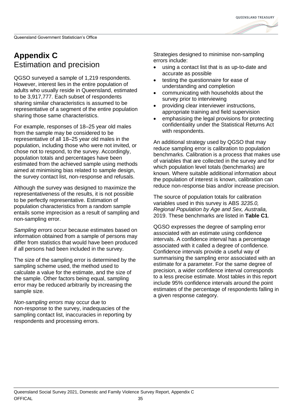

### <span id="page-41-0"></span>**Appendix C** Estimation and precision

QGSO surveyed a sample of 1,219 respondents. However, interest lies in the entire population of adults who usually reside in Queensland, estimated to be 3,917,777. Each subset of respondents sharing similar characteristics is assumed to be representative of a segment of the entire population sharing those same characteristics.

For example, responses of 18–25 year old males from the sample may be considered to be representative of all 18–25 year old males in the population, including those who were not invited, or chose not to respond, to the survey. Accordingly, population totals and percentages have been estimated from the achieved sample using methods aimed at minimising bias related to sample design, the survey contact list, non-response and refusals.

Although the survey was designed to maximize the representativeness of the results, it is not possible to be perfectly representative. Estimation of population characteristics from a random sample entails some imprecision as a result of sampling and non-sampling error.

*Sampling errors* occur because estimates based on information obtained from a sample of persons may differ from statistics that would have been produced if all persons had been included in the survey.

The size of the sampling error is determined by the sampling scheme used, the method used to calculate a value for the estimate, and the size of the sample. Other factors being equal, sampling error may be reduced arbitrarily by increasing the sample size.

*Non-sampling errors* may occur due to non-response to the survey, inadequacies of the sampling contact list, inaccuracies in reporting by respondents and processing errors.

Strategies designed to minimise non-sampling errors include:

- using a contact list that is as up-to-date and accurate as possible
- testing the questionnaire for ease of understanding and completion
- communicating with households about the survey prior to interviewing
- providing clear interviewer instructions, appropriate training and field supervision
- emphasising the legal provisions for protecting confidentiality under the Statistical Returns Act with respondents.

An additional strategy used by QGSO that may reduce sampling error is calibration to population benchmarks. Calibration is a process that makes use of variables that are collected in the survey and for which population level totals (benchmarks) are known. Where suitable additional information about the population of interest is known, calibration can reduce non-response bias and/or increase precision.

The source of population totals for calibration variables used in this survey is ABS *3235.0, Regional Population by Age and Sex, Australia,*  2019. These benchmarks are listed in **[Table C1](#page-42-0)**.

QGSO expresses the degree of sampling error associated with an estimate using confidence intervals. A confidence interval has a percentage associated with it called a degree of confidence. Confidence intervals provide a useful way of summarising the sampling error associated with an estimate for a parameter. For the same degree of precision, a wider confidence interval corresponds to a less precise estimate. Most tables in this report include 95% confidence intervals around the point estimates of the percentage of respondents falling in a given response category.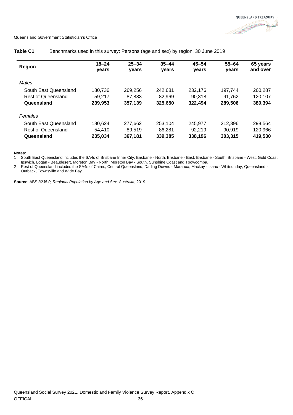

|                           | $18 - 24$ | $25 - 34$    | $35 - 44$ | $45 - 54$ | $55 - 64$ | 65 years |
|---------------------------|-----------|--------------|-----------|-----------|-----------|----------|
| Region                    | years     | <b>vears</b> | years     | years     | years     | and over |
|                           |           |              |           |           |           |          |
| Males                     |           |              |           |           |           |          |
| South East Queensland     | 180,736   | 269.256      | 242.681   | 232.176   | 197.744   | 260,287  |
| <b>Rest of Queensland</b> | 59.217    | 87,883       | 82,969    | 90.318    | 91.762    | 120.107  |
| Queensland                | 239.953   | 357,139      | 325,650   | 322,494   | 289,506   | 380,394  |
| <b>Females</b>            |           |              |           |           |           |          |
| South East Queensland     | 180.624   | 277.662      | 253.104   | 245,977   | 212.396   | 298.564  |
| <b>Rest of Queensland</b> | 54.410    | 89.519       | 86.281    | 92,219    | 90.919    | 120.966  |
| Queensland                | 235,034   | 367,181      | 339,385   | 338,196   | 303,315   | 419,530  |
|                           |           |              |           |           |           |          |

<span id="page-42-0"></span>**Table C1** Benchmarks used in this survey: Persons (age and sex) by region, 30 June 2019

#### **Notes:**

1 South East Queensland includes the SA4s of Brisbane Inner City, Brisbane - North, Brisbane - East, Brisbane - South, Brisbane - West, Gold Coast, Ipswich, Logan - Beaudesert, Moreton Bay - North, Moreton Bay - South, Sunshine Coast and Toowoomba.

2 Rest of Queensland includes the SA4s of Cairns, Central Queensland, Darling Downs - Maranoa, Mackay - Isaac - Whitsunday, Queensland - Outback, Townsville and Wide Bay.

**Source**: ABS *3235.0, Regional Population by Age and Sex, Australia*, 2019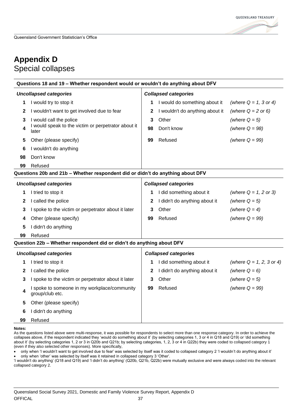### <span id="page-43-0"></span>**Appendix D** Special collapses

| Questions 18 and 19 – Whether respondent would or wouldn't do anything about DFV |                                                                       |                             |                                 |                            |  |  |
|----------------------------------------------------------------------------------|-----------------------------------------------------------------------|-----------------------------|---------------------------------|----------------------------|--|--|
| <b>Uncollapsed categories</b>                                                    |                                                                       | <b>Collapsed categories</b> |                                 |                            |  |  |
| 1                                                                                | I would try to stop it                                                | 1                           | I would do something about it   | (where $Q = 1$ , 3 or 4)   |  |  |
| 2                                                                                | I wouldn't want to get involved due to fear                           | 2                           | I wouldn't do anything about it | (where $Q = 2$ or 6)       |  |  |
| 3                                                                                | I would call the police                                               | 3                           | Other                           | (where $Q = 5$ )           |  |  |
| 4                                                                                | I would speak to the victim or perpetrator about it<br>later          | 98                          | Don't know                      | (where $Q = 98$ )          |  |  |
| 5                                                                                | Other (please specify)                                                | 99                          | Refused                         | (where $Q = 99$ )          |  |  |
| 6                                                                                | I wouldn't do anything                                                |                             |                                 |                            |  |  |
| 98                                                                               | Don't know                                                            |                             |                                 |                            |  |  |
| 99                                                                               | Refused                                                               |                             |                                 |                            |  |  |
| Questions 20b and 21b - Whether respondent did or didn't do anything about DFV   |                                                                       |                             |                                 |                            |  |  |
|                                                                                  | <b>Uncollapsed categories</b><br><b>Collapsed categories</b>          |                             |                                 |                            |  |  |
| 1                                                                                | I tried to stop it                                                    | 1                           | I did something about it        | (where $Q = 1, 2$ or 3)    |  |  |
| 2                                                                                | I called the police                                                   | 2                           | I didn't do anything about it   | (where $Q = 5$ )           |  |  |
| 3                                                                                | I spoke to the victim or perpetrator about it later                   | 3                           | Other                           | (where $Q = 4$ )           |  |  |
| 4                                                                                | Other (please specify)                                                | 99                          | Refused                         | (where $Q = 99$ )          |  |  |
| 5                                                                                | I didn't do anything                                                  |                             |                                 |                            |  |  |
| 99                                                                               | Refused                                                               |                             |                                 |                            |  |  |
|                                                                                  | Question 22b - Whether respondent did or didn't do anything about DFV |                             |                                 |                            |  |  |
| <b>Uncollapsed categories</b>                                                    |                                                                       | <b>Collapsed categories</b> |                                 |                            |  |  |
| 1                                                                                | I tried to stop it                                                    | 1                           | I did something about it        | (where $Q = 1, 2, 3$ or 4) |  |  |
| 2                                                                                | I called the police                                                   | 2                           | I didn't do anything about it   | (where $Q = 6$ )           |  |  |
| 3                                                                                | I spoke to the victim or perpetrator about it later                   | 3                           | Other                           | (where $Q = 5$ )           |  |  |
| 4                                                                                | I spoke to someone in my workplace/community<br>group/club etc.       | 99                          | Refused                         | (where $Q = 99$ )          |  |  |
| 5                                                                                | Other (please specify)                                                |                             |                                 |                            |  |  |
| 6                                                                                | I didn't do anything                                                  |                             |                                 |                            |  |  |
| 99                                                                               | Refused                                                               |                             |                                 |                            |  |  |

**Notes:**

As the questions listed above were multi-response, it was possible for respondents to select more than one response category. In order to achieve the collapses above, if the respondent indicated they 'would do something about it' (by selecting categories 1, 3 or 4 in Q18 and Q19) or 'did something about it' (by selecting categories 1, 2 or 3 in Q20b and Q21b; by selecting categories, 1, 2, 3 or 4 in Q22b) they were coded to collapsed category 1 (even if they also selected other responses). More specifically,

• only when 'I wouldn't want to get involved due to fear' was selected by itself was it coded to collapsed category 2 'I wouldn't do anything about it'

• only when 'other' was selected by itself was it retained in collapsed category 3 'Other'.

'I wouldn't do anything' (Q18 and Q19) and 'I didn't do anything' (Q20b, Q21b, Q22b) were mutually exclusive and were always coded into the relevant collapsed category 2.